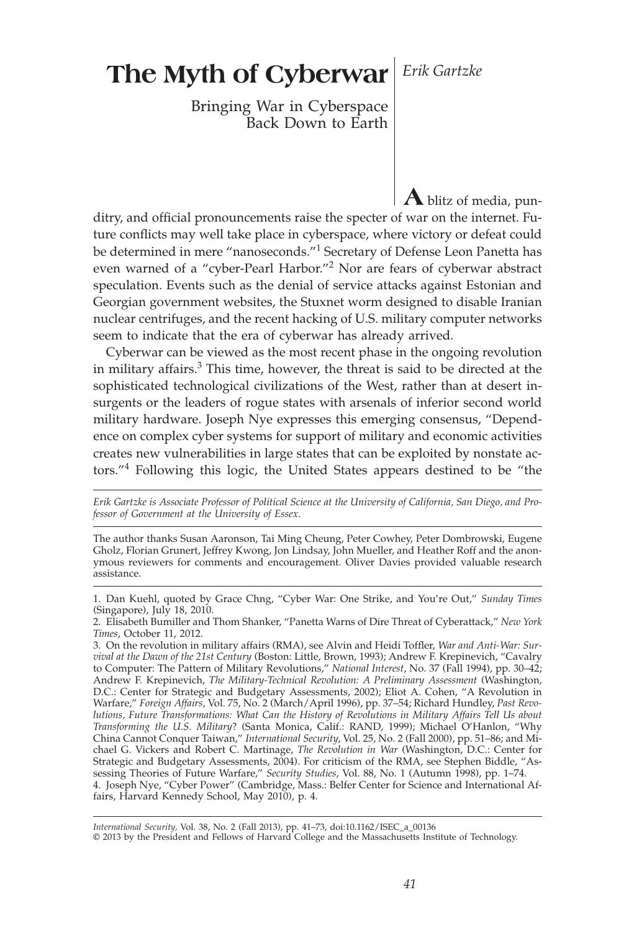# **The Myth of Cyberwar** *Erik Gartzke*

Bringing War in Cyberspace Back Down to Earth

**A**blitz of media, punditry, and official pronouncements raise the specter of war on the internet. Future conflicts may well take place in cyberspace, where victory or defeat could be determined in mere "nanoseconds."<sup>1</sup> Secretary of Defense Leon Panetta has even warned of a "cyber-Pearl Harbor."<sup>2</sup> Nor are fears of cyberwar abstract speculation. Events such as the denial of service attacks against Estonian and Georgian government websites, the Stuxnet worm designed to disable Iranian nuclear centrifuges, and the recent hacking of U.S. military computer networks seem to indicate that the era of cyberwar has already arrived.

Cyberwar can be viewed as the most recent phase in the ongoing revolution in military affairs.<sup>3</sup> This time, however, the threat is said to be directed at the sophisticated technological civilizations of the West, rather than at desert insurgents or the leaders of rogue states with arsenals of inferior second world military hardware. Joseph Nye expresses this emerging consensus, "Dependence on complex cyber systems for support of military and economic activities creates new vulnerabilities in large states that can be exploited by nonstate actors."<sup>4</sup> Following this logic, the United States appears destined to be "the

*Erik Gartzke is Associate Professor of Political Science at the University of California, San Diego, and Professor of Government at the University of Essex*.

The author thanks Susan Aaronson, Tai Ming Cheung, Peter Cowhey, Peter Dombrowski, Eugene Gholz, Florian Grunert, Jeffrey Kwong, Jon Lindsay, John Mueller, and Heather Roff and the anonymous reviewers for comments and encouragement. Oliver Davies provided valuable research assistance.

<sup>1.</sup> Dan Kuehl, quoted by Grace Chng, "Cyber War: One Strike, and You're Out," *Sunday Times* (Singapore), July 18, 2010.

<sup>2.</sup> Elisabeth Bumiller and Thom Shanker, "Panetta Warns of Dire Threat of Cyberattack," *New York Times*, October 11, 2012.

<sup>3.</sup> On the revolution in military affairs (RMA), see Alvin and Heidi Toffler, *War and Anti-War: Survival at the Dawn of the 21st Century* (Boston: Little, Brown, 1993); Andrew F. Krepinevich, "Cavalry to Computer: The Pattern of Military Revolutions," *National Interest*, No. 37 (Fall 1994), pp. 30–42; Andrew F. Krepinevich, *The Military-Technical Revolution: A Preliminary Assessment* (Washington, D.C.: Center for Strategic and Budgetary Assessments, 2002); Eliot A. Cohen, "A Revolution in Warfare," *Foreign Affairs*, Vol. 75, No. 2 (March/April 1996), pp. 37–54; Richard Hundley, *Past Revolutions, Future Transformations: What Can the History of Revolutions in Military Affairs Tell Us about Transforming the U.S. Military*? (Santa Monica, Calif.: RAND, 1999); Michael O'Hanlon, "Why China Cannot Conquer Taiwan," *International Security*, Vol. 25, No. 2 (Fall 2000), pp. 51–86; and Michael G. Vickers and Robert C. Martinage, *The Revolution in War* (Washington, D.C.: Center for Strategic and Budgetary Assessments, 2004). For criticism of the RMA, see Stephen Biddle, "Assessing Theories of Future Warfare," *Security Studies*, Vol. 88, No. 1 (Autumn 1998), pp. 1–74. 4. Joseph Nye, "Cyber Power" (Cambridge, Mass.: Belfer Center for Science and International Affairs, Harvard Kennedy School, May 2010), p. 4.

*International Security,* Vol. 38, No. 2 (Fall 2013), pp. 41–73, doi:10.1162/ISEC\_a\_00136

<sup>© 2013</sup> by the President and Fellows of Harvard College and the Massachusetts Institute of Technology.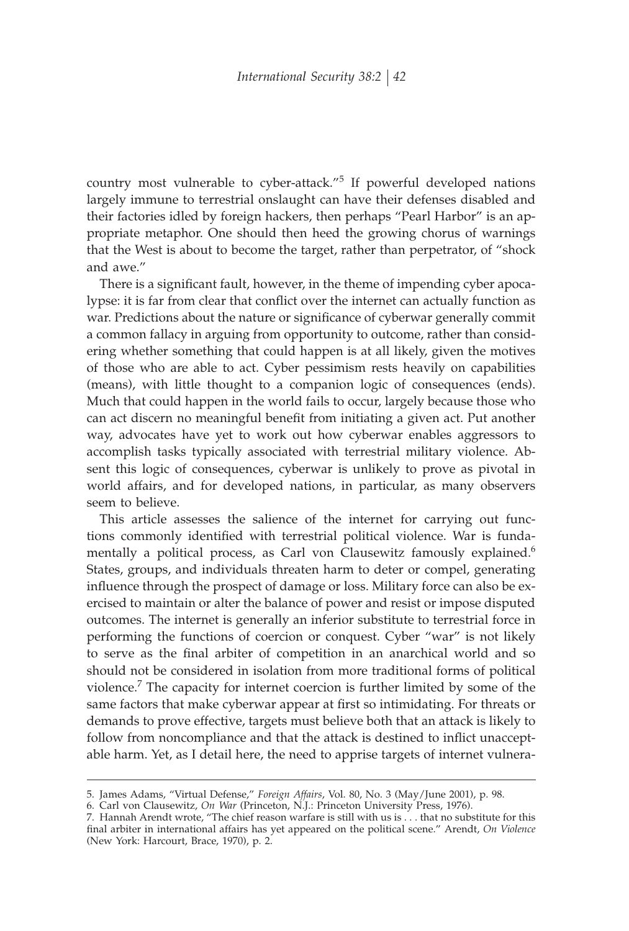country most vulnerable to cyber-attack."<sup>5</sup> If powerful developed nations largely immune to terrestrial onslaught can have their defenses disabled and their factories idled by foreign hackers, then perhaps "Pearl Harbor" is an appropriate metaphor. One should then heed the growing chorus of warnings that the West is about to become the target, rather than perpetrator, of "shock and awe."

There is a significant fault, however, in the theme of impending cyber apocalypse: it is far from clear that conflict over the internet can actually function as war. Predictions about the nature or significance of cyberwar generally commit a common fallacy in arguing from opportunity to outcome, rather than considering whether something that could happen is at all likely, given the motives of those who are able to act. Cyber pessimism rests heavily on capabilities (means), with little thought to a companion logic of consequences (ends). Much that could happen in the world fails to occur, largely because those who can act discern no meaningful benefit from initiating a given act. Put another way, advocates have yet to work out how cyberwar enables aggressors to accomplish tasks typically associated with terrestrial military violence. Absent this logic of consequences, cyberwar is unlikely to prove as pivotal in world affairs, and for developed nations, in particular, as many observers seem to believe.

This article assesses the salience of the internet for carrying out functions commonly identified with terrestrial political violence. War is fundamentally a political process, as Carl von Clausewitz famously explained.<sup>6</sup> States, groups, and individuals threaten harm to deter or compel, generating influence through the prospect of damage or loss. Military force can also be exercised to maintain or alter the balance of power and resist or impose disputed outcomes. The internet is generally an inferior substitute to terrestrial force in performing the functions of coercion or conquest. Cyber "war" is not likely to serve as the final arbiter of competition in an anarchical world and so should not be considered in isolation from more traditional forms of political violence.<sup>7</sup> The capacity for internet coercion is further limited by some of the same factors that make cyberwar appear at first so intimidating. For threats or demands to prove effective, targets must believe both that an attack is likely to follow from noncompliance and that the attack is destined to inflict unacceptable harm. Yet, as I detail here, the need to apprise targets of internet vulnera-

<sup>5.</sup> James Adams, "Virtual Defense," *Foreign Affairs*, Vol. 80, No. 3 (May/June 2001), p. 98.

<sup>6.</sup> Carl von Clausewitz, *On War* (Princeton, N.J.: Princeton University Press, 1976).

<sup>7.</sup> Hannah Arendt wrote, "The chief reason warfare is still with us is... that no substitute for this final arbiter in international affairs has yet appeared on the political scene." Arendt, *On Violence* (New York: Harcourt, Brace, 1970), p. 2.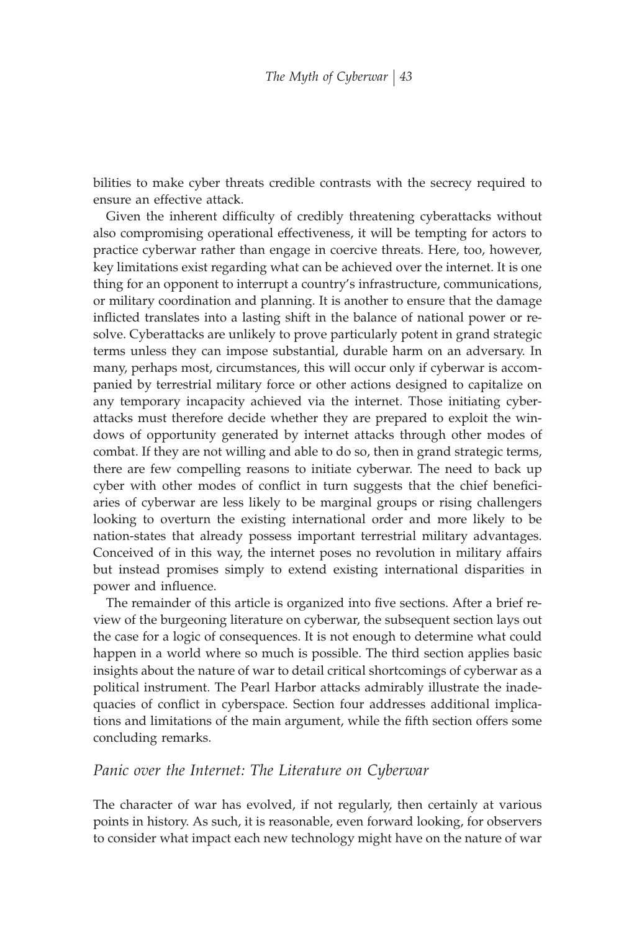bilities to make cyber threats credible contrasts with the secrecy required to ensure an effective attack.

Given the inherent difficulty of credibly threatening cyberattacks without also compromising operational effectiveness, it will be tempting for actors to practice cyberwar rather than engage in coercive threats. Here, too, however, key limitations exist regarding what can be achieved over the internet. It is one thing for an opponent to interrupt a country's infrastructure, communications, or military coordination and planning. It is another to ensure that the damage inflicted translates into a lasting shift in the balance of national power or resolve. Cyberattacks are unlikely to prove particularly potent in grand strategic terms unless they can impose substantial, durable harm on an adversary. In many, perhaps most, circumstances, this will occur only if cyberwar is accompanied by terrestrial military force or other actions designed to capitalize on any temporary incapacity achieved via the internet. Those initiating cyberattacks must therefore decide whether they are prepared to exploit the windows of opportunity generated by internet attacks through other modes of combat. If they are not willing and able to do so, then in grand strategic terms, there are few compelling reasons to initiate cyberwar. The need to back up cyber with other modes of conflict in turn suggests that the chief beneficiaries of cyberwar are less likely to be marginal groups or rising challengers looking to overturn the existing international order and more likely to be nation-states that already possess important terrestrial military advantages. Conceived of in this way, the internet poses no revolution in military affairs but instead promises simply to extend existing international disparities in power and influence.

The remainder of this article is organized into five sections. After a brief review of the burgeoning literature on cyberwar, the subsequent section lays out the case for a logic of consequences. It is not enough to determine what could happen in a world where so much is possible. The third section applies basic insights about the nature of war to detail critical shortcomings of cyberwar as a political instrument. The Pearl Harbor attacks admirably illustrate the inadequacies of conflict in cyberspace. Section four addresses additional implications and limitations of the main argument, while the fifth section offers some concluding remarks.

## *Panic over the Internet: The Literature on Cyberwar*

The character of war has evolved, if not regularly, then certainly at various points in history. As such, it is reasonable, even forward looking, for observers to consider what impact each new technology might have on the nature of war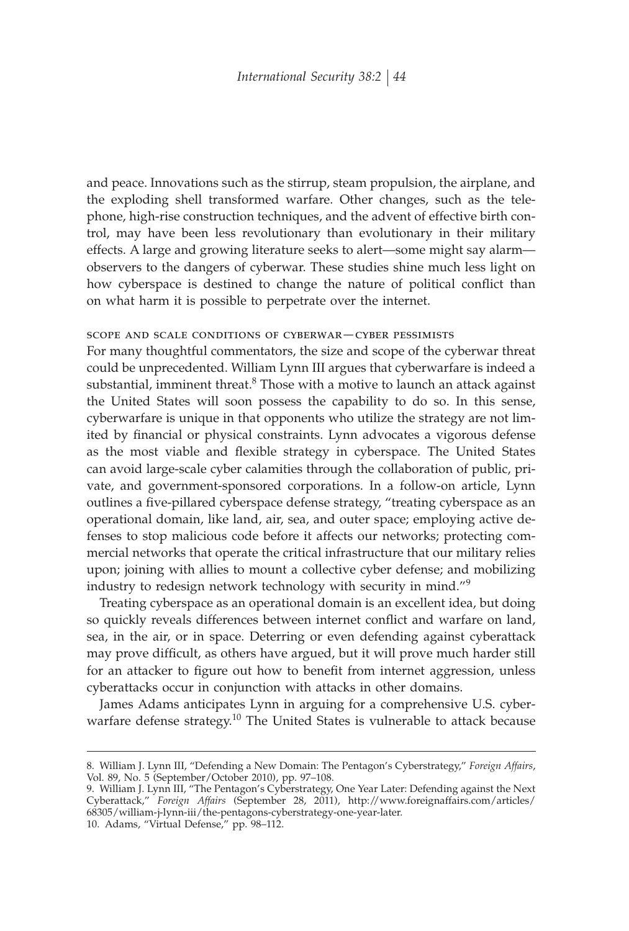and peace. Innovations such as the stirrup, steam propulsion, the airplane, and the exploding shell transformed warfare. Other changes, such as the telephone, high-rise construction techniques, and the advent of effective birth control, may have been less revolutionary than evolutionary in their military effects. A large and growing literature seeks to alert—some might say alarm observers to the dangers of cyberwar. These studies shine much less light on how cyberspace is destined to change the nature of political conflict than on what harm it is possible to perpetrate over the internet.

#### scope and scale conditions of cyberwar—cyber pessimists

For many thoughtful commentators, the size and scope of the cyberwar threat could be unprecedented. William Lynn III argues that cyberwarfare is indeed a substantial, imminent threat.<sup>8</sup> Those with a motive to launch an attack against the United States will soon possess the capability to do so. In this sense, cyberwarfare is unique in that opponents who utilize the strategy are not limited by financial or physical constraints. Lynn advocates a vigorous defense as the most viable and flexible strategy in cyberspace. The United States can avoid large-scale cyber calamities through the collaboration of public, private, and government-sponsored corporations. In a follow-on article, Lynn outlines a five-pillared cyberspace defense strategy, "treating cyberspace as an operational domain, like land, air, sea, and outer space; employing active defenses to stop malicious code before it affects our networks; protecting commercial networks that operate the critical infrastructure that our military relies upon; joining with allies to mount a collective cyber defense; and mobilizing industry to redesign network technology with security in mind."<sup>9</sup>

Treating cyberspace as an operational domain is an excellent idea, but doing so quickly reveals differences between internet conflict and warfare on land, sea, in the air, or in space. Deterring or even defending against cyberattack may prove difficult, as others have argued, but it will prove much harder still for an attacker to figure out how to benefit from internet aggression, unless cyberattacks occur in conjunction with attacks in other domains.

James Adams anticipates Lynn in arguing for a comprehensive U.S. cyberwarfare defense strategy.<sup>10</sup> The United States is vulnerable to attack because

9. William J. Lynn III, "The Pentagon's Cyberstrategy, One Year Later: Defending against the Next Cyberattack," *Foreign Affairs* (September 28, 2011), http://www.foreignaffairs.com/articles/ 68305/william-j-lynn-iii/the-pentagons-cyberstrategy-one-year-later.

10. Adams, "Virtual Defense," pp. 98–112.

<sup>8.</sup> William J. Lynn III, "Defending a New Domain: The Pentagon's Cyberstrategy," *Foreign Affairs*, Vol. 89, No. 5 (September/October 2010), pp. 97–108.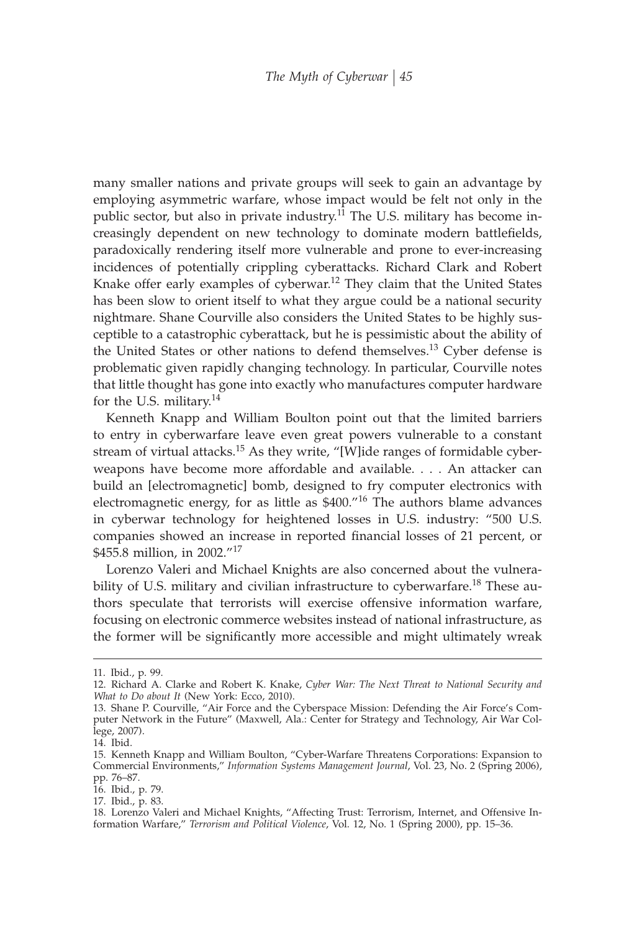many smaller nations and private groups will seek to gain an advantage by employing asymmetric warfare, whose impact would be felt not only in the public sector, but also in private industry.<sup>11</sup> The U.S. military has become increasingly dependent on new technology to dominate modern battlefields, paradoxically rendering itself more vulnerable and prone to ever-increasing incidences of potentially crippling cyberattacks. Richard Clark and Robert Knake offer early examples of cyberwar.<sup>12</sup> They claim that the United States has been slow to orient itself to what they argue could be a national security nightmare. Shane Courville also considers the United States to be highly susceptible to a catastrophic cyberattack, but he is pessimistic about the ability of the United States or other nations to defend themselves.<sup>13</sup> Cyber defense is problematic given rapidly changing technology. In particular, Courville notes that little thought has gone into exactly who manufactures computer hardware for the U.S. military. $14$ 

Kenneth Knapp and William Boulton point out that the limited barriers to entry in cyberwarfare leave even great powers vulnerable to a constant stream of virtual attacks.<sup>15</sup> As they write, "[W]ide ranges of formidable cyberweapons have become more affordable and available. . . . An attacker can build an [electromagnetic] bomb, designed to fry computer electronics with electromagnetic energy, for as little as \$400."<sup>16</sup> The authors blame advances in cyberwar technology for heightened losses in U.S. industry: "500 U.S. companies showed an increase in reported financial losses of 21 percent, or \$455.8 million, in 2002."<sup>17</sup>

Lorenzo Valeri and Michael Knights are also concerned about the vulnerability of U.S. military and civilian infrastructure to cyberwarfare.<sup>18</sup> These authors speculate that terrorists will exercise offensive information warfare, focusing on electronic commerce websites instead of national infrastructure, as the former will be significantly more accessible and might ultimately wreak

<sup>11.</sup> Ibid., p. 99.

<sup>12.</sup> Richard A. Clarke and Robert K. Knake, *Cyber War: The Next Threat to National Security and What to Do about It* (New York: Ecco, 2010).

<sup>13.</sup> Shane P. Courville, "Air Force and the Cyberspace Mission: Defending the Air Force's Computer Network in the Future" (Maxwell, Ala.: Center for Strategy and Technology, Air War College, 2007).

<sup>14.</sup> Ibid.

<sup>15.</sup> Kenneth Knapp and William Boulton, "Cyber-Warfare Threatens Corporations: Expansion to Commercial Environments," *Information Systems Management Journal*, Vol. 23, No. 2 (Spring 2006), pp. 76–87.

<sup>16.</sup> Ibid., p. 79.

<sup>17.</sup> Ibid., p. 83.

<sup>18.</sup> Lorenzo Valeri and Michael Knights, "Affecting Trust: Terrorism, Internet, and Offensive Information Warfare," *Terrorism and Political Violence*, Vol. 12, No. 1 (Spring 2000), pp. 15–36.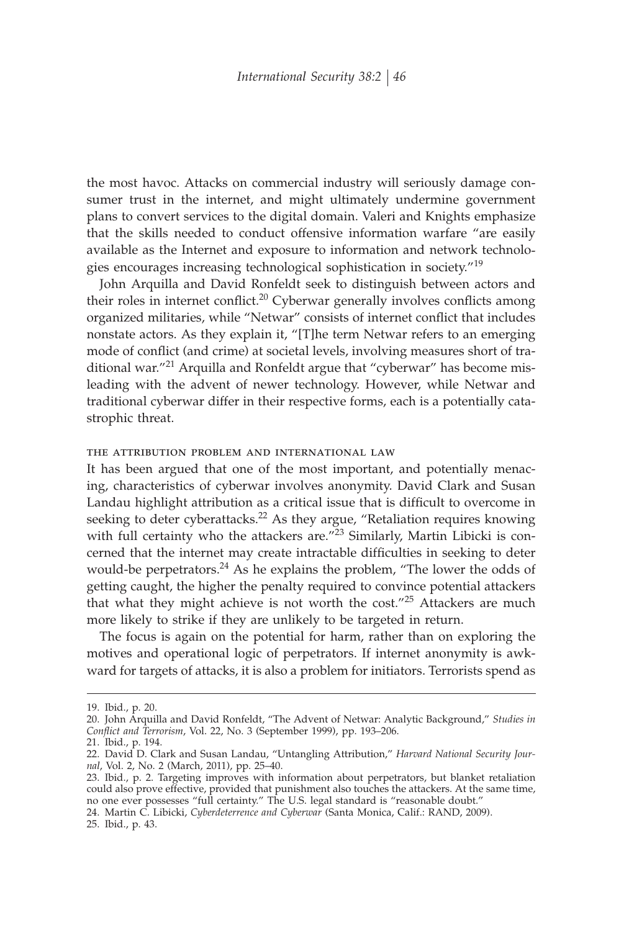the most havoc. Attacks on commercial industry will seriously damage consumer trust in the internet, and might ultimately undermine government plans to convert services to the digital domain. Valeri and Knights emphasize that the skills needed to conduct offensive information warfare "are easily available as the Internet and exposure to information and network technologies encourages increasing technological sophistication in society."<sup>19</sup>

John Arquilla and David Ronfeldt seek to distinguish between actors and their roles in internet conflict.<sup>20</sup> Cyberwar generally involves conflicts among organized militaries, while "Netwar" consists of internet conflict that includes nonstate actors. As they explain it, "[T]he term Netwar refers to an emerging mode of conflict (and crime) at societal levels, involving measures short of traditional war."<sup>21</sup> Arquilla and Ronfeldt argue that "cyberwar" has become misleading with the advent of newer technology. However, while Netwar and traditional cyberwar differ in their respective forms, each is a potentially catastrophic threat.

#### the attribution problem and international law

It has been argued that one of the most important, and potentially menacing, characteristics of cyberwar involves anonymity. David Clark and Susan Landau highlight attribution as a critical issue that is difficult to overcome in seeking to deter cyberattacks.<sup>22</sup> As they argue, "Retaliation requires knowing with full certainty who the attackers are."<sup>23</sup> Similarly, Martin Libicki is concerned that the internet may create intractable difficulties in seeking to deter would-be perpetrators.<sup>24</sup> As he explains the problem, "The lower the odds of getting caught, the higher the penalty required to convince potential attackers that what they might achieve is not worth the cost."<sup>25</sup> Attackers are much more likely to strike if they are unlikely to be targeted in return.

The focus is again on the potential for harm, rather than on exploring the motives and operational logic of perpetrators. If internet anonymity is awkward for targets of attacks, it is also a problem for initiators. Terrorists spend as

<sup>19.</sup> Ibid., p. 20.

<sup>20.</sup> John Arquilla and David Ronfeldt, "The Advent of Netwar: Analytic Background," *Studies in Conºict and Terrorism*, Vol. 22, No. 3 (September 1999), pp. 193–206.

<sup>21.</sup> Ibid., p. 194.

<sup>22.</sup> David D. Clark and Susan Landau, "Untangling Attribution," *Harvard National Security Journal*, Vol. 2, No. 2 (March, 2011), pp. 25–40.

<sup>23.</sup> Ibid., p. 2. Targeting improves with information about perpetrators, but blanket retaliation could also prove effective, provided that punishment also touches the attackers. At the same time, no one ever possesses "full certainty." The U.S. legal standard is "reasonable doubt."

<sup>24.</sup> Martin C. Libicki, *Cyberdeterrence and Cyberwar* (Santa Monica, Calif.: RAND, 2009).

<sup>25.</sup> Ibid., p. 43.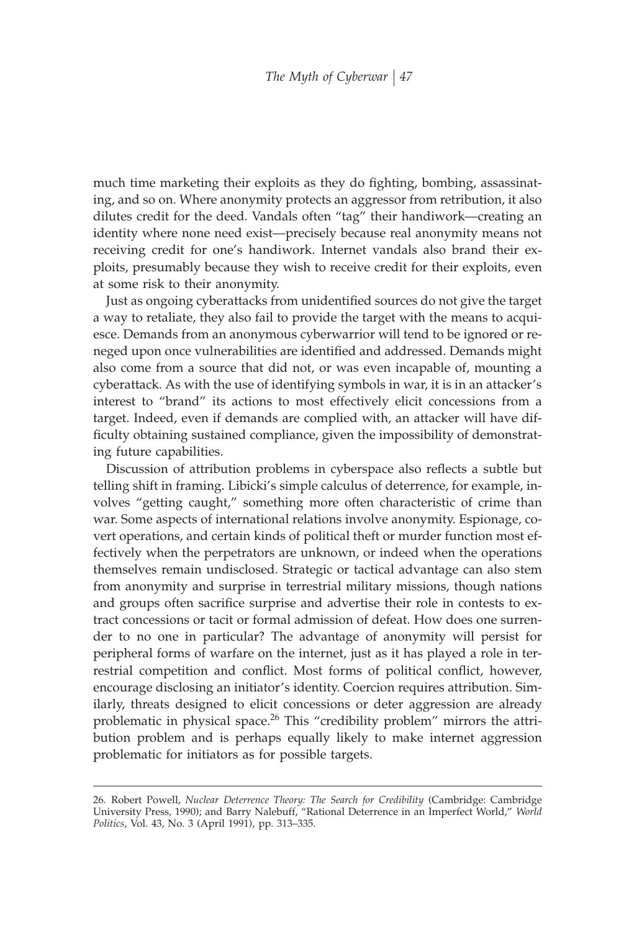much time marketing their exploits as they do fighting, bombing, assassinating, and so on. Where anonymity protects an aggressor from retribution, it also dilutes credit for the deed. Vandals often "tag" their handiwork—creating an identity where none need exist—precisely because real anonymity means not receiving credit for one's handiwork. Internet vandals also brand their exploits, presumably because they wish to receive credit for their exploits, even at some risk to their anonymity.

Just as ongoing cyberattacks from unidentified sources do not give the target a way to retaliate, they also fail to provide the target with the means to acquiesce. Demands from an anonymous cyberwarrior will tend to be ignored or reneged upon once vulnerabilities are identified and addressed. Demands might also come from a source that did not, or was even incapable of, mounting a cyberattack. As with the use of identifying symbols in war, it is in an attacker's interest to "brand" its actions to most effectively elicit concessions from a target. Indeed, even if demands are complied with, an attacker will have difficulty obtaining sustained compliance, given the impossibility of demonstrating future capabilities.

Discussion of attribution problems in cyberspace also reflects a subtle but telling shift in framing. Libicki's simple calculus of deterrence, for example, involves "getting caught," something more often characteristic of crime than war. Some aspects of international relations involve anonymity. Espionage, covert operations, and certain kinds of political theft or murder function most effectively when the perpetrators are unknown, or indeed when the operations themselves remain undisclosed. Strategic or tactical advantage can also stem from anonymity and surprise in terrestrial military missions, though nations and groups often sacrifice surprise and advertise their role in contests to extract concessions or tacit or formal admission of defeat. How does one surrender to no one in particular? The advantage of anonymity will persist for peripheral forms of warfare on the internet, just as it has played a role in terrestrial competition and conflict. Most forms of political conflict, however, encourage disclosing an initiator's identity. Coercion requires attribution. Similarly, threats designed to elicit concessions or deter aggression are already problematic in physical space.<sup>26</sup> This "credibility problem" mirrors the attribution problem and is perhaps equally likely to make internet aggression problematic for initiators as for possible targets.

<sup>26.</sup> Robert Powell, *Nuclear Deterrence Theory: The Search for Credibility* (Cambridge: Cambridge University Press, 1990); and Barry Nalebuff, "Rational Deterrence in an Imperfect World," *World Politics*, Vol. 43, No. 3 (April 1991), pp. 313–335.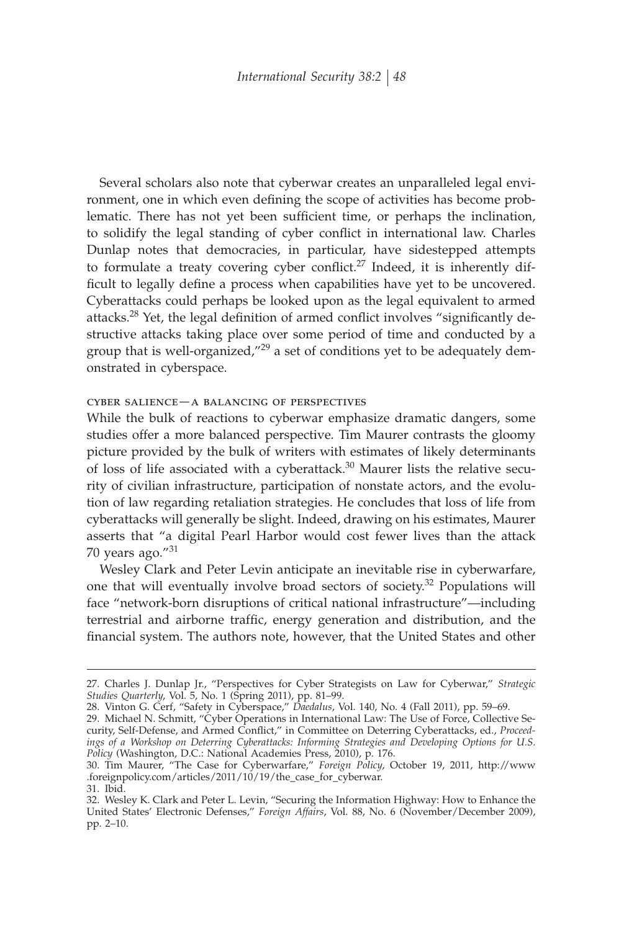Several scholars also note that cyberwar creates an unparalleled legal environment, one in which even defining the scope of activities has become problematic. There has not yet been sufficient time, or perhaps the inclination, to solidify the legal standing of cyber conflict in international law. Charles Dunlap notes that democracies, in particular, have sidestepped attempts to formulate a treaty covering cyber conflict.<sup>27</sup> Indeed, it is inherently difficult to legally define a process when capabilities have yet to be uncovered. Cyberattacks could perhaps be looked upon as the legal equivalent to armed attacks.<sup>28</sup> Yet, the legal definition of armed conflict involves "significantly destructive attacks taking place over some period of time and conducted by a group that is well-organized,"<sup>29</sup> a set of conditions yet to be adequately demonstrated in cyberspace.

### cyber salience—a balancing of perspectives

While the bulk of reactions to cyberwar emphasize dramatic dangers, some studies offer a more balanced perspective. Tim Maurer contrasts the gloomy picture provided by the bulk of writers with estimates of likely determinants of loss of life associated with a cyberattack.<sup>30</sup> Maurer lists the relative security of civilian infrastructure, participation of nonstate actors, and the evolution of law regarding retaliation strategies. He concludes that loss of life from cyberattacks will generally be slight. Indeed, drawing on his estimates, Maurer asserts that "a digital Pearl Harbor would cost fewer lives than the attack 70 years ago. $^{\prime\prime}$ <sup>31</sup>

Wesley Clark and Peter Levin anticipate an inevitable rise in cyberwarfare, one that will eventually involve broad sectors of society.<sup>32</sup> Populations will face "network-born disruptions of critical national infrastructure"—including terrestrial and airborne traffic, energy generation and distribution, and the financial system. The authors note, however, that the United States and other

<sup>27.</sup> Charles J. Dunlap Jr., "Perspectives for Cyber Strategists on Law for Cyberwar," *Strategic Studies Quarterly*, Vol. 5, No. 1 (Spring 2011), pp. 81–99.

<sup>28.</sup> Vinton G. Cerf, "Safety in Cyberspace," *Daedalus*, Vol. 140, No. 4 (Fall 2011), pp. 59–69.

<sup>29.</sup> Michael N. Schmitt, "Cyber Operations in International Law: The Use of Force, Collective Security, Self-Defense, and Armed Conflict," in Committee on Deterring Cyberattacks, ed., *Proceedings of a Workshop on Deterring Cyberattacks: Informing Strategies and Developing Options for U.S. Policy* (Washington, D.C.: National Academies Press, 2010), p. 176.

<sup>30.</sup> Tim Maurer, "The Case for Cyberwarfare," *Foreign Policy*, October 19, 2011, http://www .foreignpolicy.com/articles/2011/10/19/the\_case\_for\_cyberwar.

<sup>31.</sup> Ibid.

<sup>32.</sup> Wesley K. Clark and Peter L. Levin, "Securing the Information Highway: How to Enhance the United States' Electronic Defenses," *Foreign Affairs*, Vol. 88, No. 6 (November/December 2009), pp. 2–10.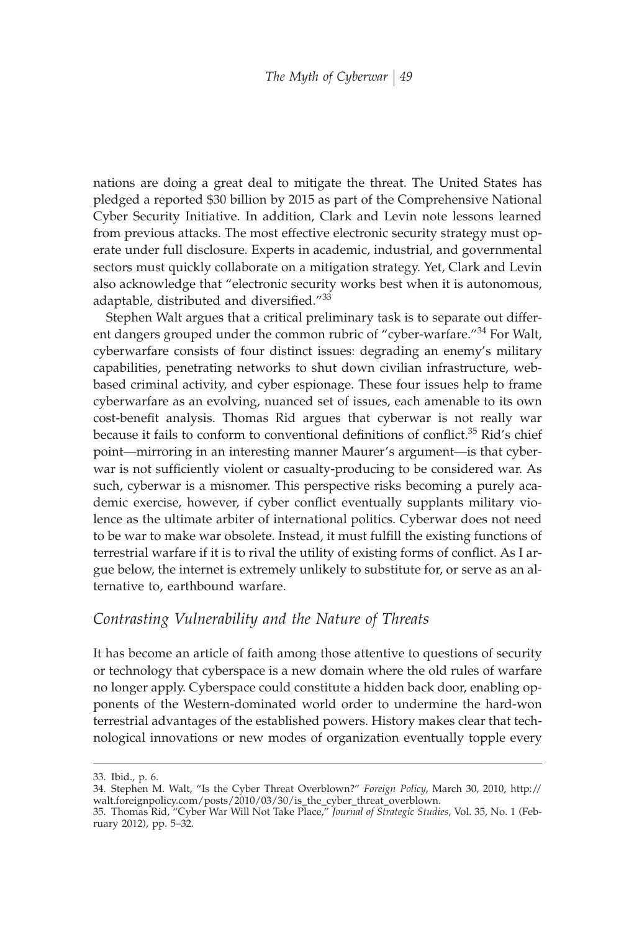nations are doing a great deal to mitigate the threat. The United States has pledged a reported \$30 billion by 2015 as part of the Comprehensive National Cyber Security Initiative. In addition, Clark and Levin note lessons learned from previous attacks. The most effective electronic security strategy must operate under full disclosure. Experts in academic, industrial, and governmental sectors must quickly collaborate on a mitigation strategy. Yet, Clark and Levin also acknowledge that "electronic security works best when it is autonomous, adaptable, distributed and diversified."33

Stephen Walt argues that a critical preliminary task is to separate out different dangers grouped under the common rubric of "cyber-warfare."<sup>34</sup> For Walt, cyberwarfare consists of four distinct issues: degrading an enemy's military capabilities, penetrating networks to shut down civilian infrastructure, webbased criminal activity, and cyber espionage. These four issues help to frame cyberwarfare as an evolving, nuanced set of issues, each amenable to its own cost-benefit analysis. Thomas Rid argues that cyberwar is not really war because it fails to conform to conventional definitions of conflict.<sup>35</sup> Rid's chief point—mirroring in an interesting manner Maurer's argument—is that cyberwar is not sufficiently violent or casualty-producing to be considered war. As such, cyberwar is a misnomer. This perspective risks becoming a purely academic exercise, however, if cyber conflict eventually supplants military violence as the ultimate arbiter of international politics. Cyberwar does not need to be war to make war obsolete. Instead, it must fulfill the existing functions of terrestrial warfare if it is to rival the utility of existing forms of conflict. As I argue below, the internet is extremely unlikely to substitute for, or serve as an alternative to, earthbound warfare.

## *Contrasting Vulnerability and the Nature of Threats*

It has become an article of faith among those attentive to questions of security or technology that cyberspace is a new domain where the old rules of warfare no longer apply. Cyberspace could constitute a hidden back door, enabling opponents of the Western-dominated world order to undermine the hard-won terrestrial advantages of the established powers. History makes clear that technological innovations or new modes of organization eventually topple every

<sup>33.</sup> Ibid., p. 6.

<sup>34.</sup> Stephen M. Walt, "Is the Cyber Threat Overblown?" *Foreign Policy*, March 30, 2010, http:// walt.foreignpolicy.com/posts/2010/03/30/is\_the\_cyber\_threat\_overblown.

<sup>35.</sup> Thomas Rid, "Cyber War Will Not Take Place," *Journal of Strategic Studies*, Vol. 35, No. 1 (February 2012), pp. 5–32.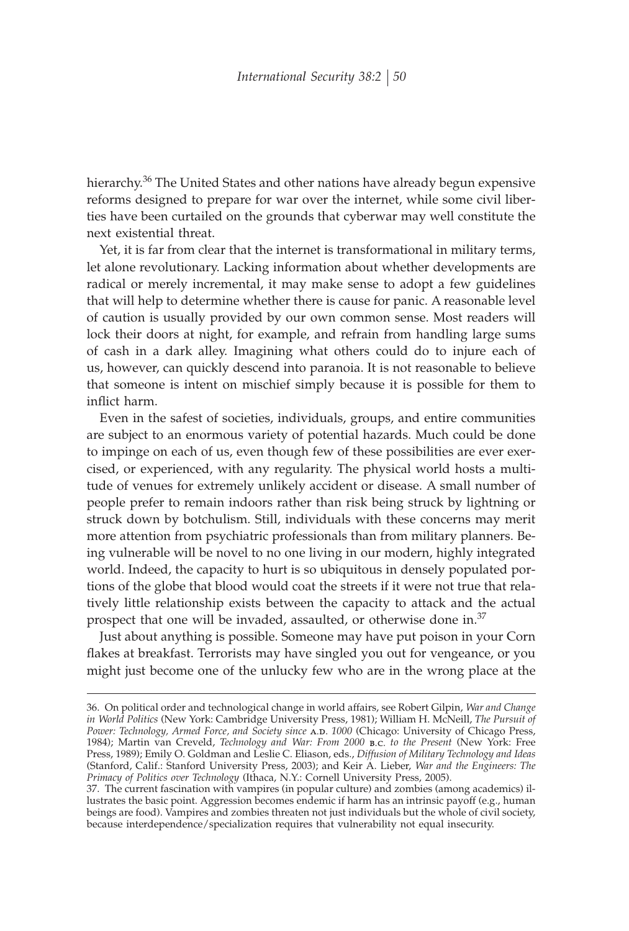hierarchy.<sup>36</sup> The United States and other nations have already begun expensive reforms designed to prepare for war over the internet, while some civil liberties have been curtailed on the grounds that cyberwar may well constitute the next existential threat.

Yet, it is far from clear that the internet is transformational in military terms, let alone revolutionary. Lacking information about whether developments are radical or merely incremental, it may make sense to adopt a few guidelines that will help to determine whether there is cause for panic. A reasonable level of caution is usually provided by our own common sense. Most readers will lock their doors at night, for example, and refrain from handling large sums of cash in a dark alley. Imagining what others could do to injure each of us, however, can quickly descend into paranoia. It is not reasonable to believe that someone is intent on mischief simply because it is possible for them to inflict harm.

Even in the safest of societies, individuals, groups, and entire communities are subject to an enormous variety of potential hazards. Much could be done to impinge on each of us, even though few of these possibilities are ever exercised, or experienced, with any regularity. The physical world hosts a multitude of venues for extremely unlikely accident or disease. A small number of people prefer to remain indoors rather than risk being struck by lightning or struck down by botchulism. Still, individuals with these concerns may merit more attention from psychiatric professionals than from military planners. Being vulnerable will be novel to no one living in our modern, highly integrated world. Indeed, the capacity to hurt is so ubiquitous in densely populated portions of the globe that blood would coat the streets if it were not true that relatively little relationship exists between the capacity to attack and the actual prospect that one will be invaded, assaulted, or otherwise done in.<sup>37</sup>

Just about anything is possible. Someone may have put poison in your Corn flakes at breakfast. Terrorists may have singled you out for vengeance, or you might just become one of the unlucky few who are in the wrong place at the

<sup>36.</sup> On political order and technological change in world affairs, see Robert Gilpin, *War and Change in World Politics* (New York: Cambridge University Press, 1981); William H. McNeill, *The Pursuit of Power: Technology, Armed Force, and Society since 1000* (Chicago: University of Chicago Press, 1984); Martin van Creveld, *Technology and War: From 2000 to the Present* (New York: Free Press, 1989); Emily O. Goldman and Leslie C. Eliason, eds., *Diffusion of Military Technology and Ideas* (Stanford, Calif.: Stanford University Press, 2003); and Keir A. Lieber, *War and the Engineers: The Primacy of Politics over Technology* (Ithaca, N.Y.: Cornell University Press, 2005).

<sup>37.</sup> The current fascination with vampires (in popular culture) and zombies (among academics) illustrates the basic point. Aggression becomes endemic if harm has an intrinsic payoff (e.g., human beings are food). Vampires and zombies threaten not just individuals but the whole of civil society, because interdependence/specialization requires that vulnerability not equal insecurity.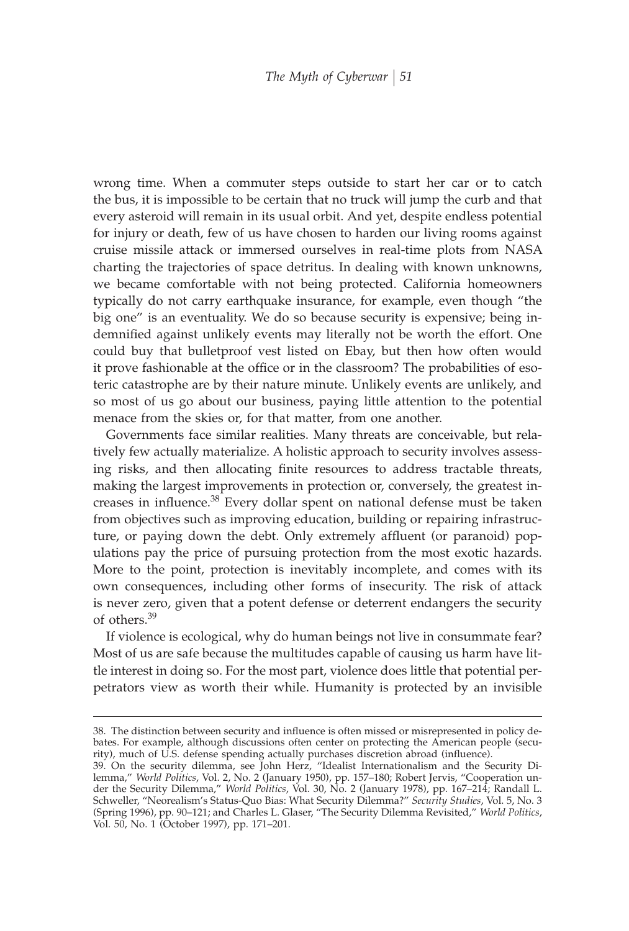wrong time. When a commuter steps outside to start her car or to catch the bus, it is impossible to be certain that no truck will jump the curb and that every asteroid will remain in its usual orbit. And yet, despite endless potential for injury or death, few of us have chosen to harden our living rooms against cruise missile attack or immersed ourselves in real-time plots from NASA charting the trajectories of space detritus. In dealing with known unknowns, we became comfortable with not being protected. California homeowners typically do not carry earthquake insurance, for example, even though "the big one" is an eventuality. We do so because security is expensive; being indemnified against unlikely events may literally not be worth the effort. One could buy that bulletproof vest listed on Ebay, but then how often would it prove fashionable at the office or in the classroom? The probabilities of esoteric catastrophe are by their nature minute. Unlikely events are unlikely, and so most of us go about our business, paying little attention to the potential menace from the skies or, for that matter, from one another.

Governments face similar realities. Many threats are conceivable, but relatively few actually materialize. A holistic approach to security involves assessing risks, and then allocating finite resources to address tractable threats, making the largest improvements in protection or, conversely, the greatest increases in influence.<sup>38</sup> Every dollar spent on national defense must be taken from objectives such as improving education, building or repairing infrastructure, or paying down the debt. Only extremely affluent (or paranoid) populations pay the price of pursuing protection from the most exotic hazards. More to the point, protection is inevitably incomplete, and comes with its own consequences, including other forms of insecurity. The risk of attack is never zero, given that a potent defense or deterrent endangers the security of others.<sup>39</sup>

If violence is ecological, why do human beings not live in consummate fear? Most of us are safe because the multitudes capable of causing us harm have little interest in doing so. For the most part, violence does little that potential perpetrators view as worth their while. Humanity is protected by an invisible

<sup>38.</sup> The distinction between security and influence is often missed or misrepresented in policy debates. For example, although discussions often center on protecting the American people (security), much of U.S. defense spending actually purchases discretion abroad (influence).

<sup>39.</sup> On the security dilemma, see John Herz, "Idealist Internationalism and the Security Dilemma," *World Politics*, Vol. 2, No. 2 (January 1950), pp. 157–180; Robert Jervis, "Cooperation under the Security Dilemma," *World Politics*, Vol. 30, No. 2 (January 1978), pp. 167–214; Randall L. Schweller, "Neorealism's Status-Quo Bias: What Security Dilemma?" *Security Studies*, Vol. 5, No. 3 (Spring 1996), pp. 90–121; and Charles L. Glaser, "The Security Dilemma Revisited," *World Politics*, Vol. 50, No. 1 (October 1997), pp. 171–201.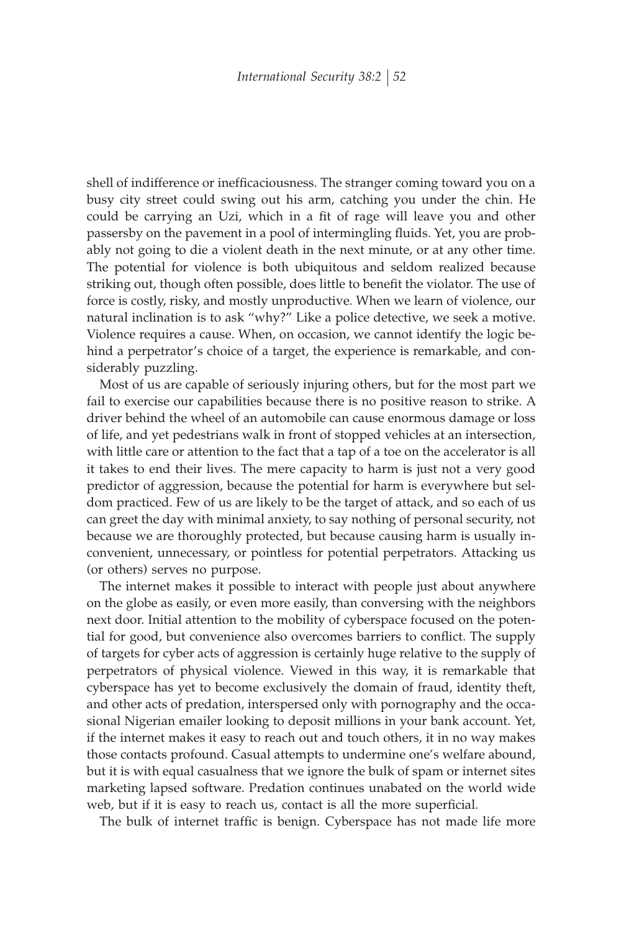shell of indifference or inefficaciousness. The stranger coming toward you on a busy city street could swing out his arm, catching you under the chin. He could be carrying an Uzi, which in a fit of rage will leave you and other passersby on the pavement in a pool of intermingling fluids. Yet, you are probably not going to die a violent death in the next minute, or at any other time. The potential for violence is both ubiquitous and seldom realized because striking out, though often possible, does little to benefit the violator. The use of force is costly, risky, and mostly unproductive. When we learn of violence, our natural inclination is to ask "why?" Like a police detective, we seek a motive. Violence requires a cause. When, on occasion, we cannot identify the logic behind a perpetrator's choice of a target, the experience is remarkable, and considerably puzzling.

Most of us are capable of seriously injuring others, but for the most part we fail to exercise our capabilities because there is no positive reason to strike. A driver behind the wheel of an automobile can cause enormous damage or loss of life, and yet pedestrians walk in front of stopped vehicles at an intersection, with little care or attention to the fact that a tap of a toe on the accelerator is all it takes to end their lives. The mere capacity to harm is just not a very good predictor of aggression, because the potential for harm is everywhere but seldom practiced. Few of us are likely to be the target of attack, and so each of us can greet the day with minimal anxiety, to say nothing of personal security, not because we are thoroughly protected, but because causing harm is usually inconvenient, unnecessary, or pointless for potential perpetrators. Attacking us (or others) serves no purpose.

The internet makes it possible to interact with people just about anywhere on the globe as easily, or even more easily, than conversing with the neighbors next door. Initial attention to the mobility of cyberspace focused on the potential for good, but convenience also overcomes barriers to conflict. The supply of targets for cyber acts of aggression is certainly huge relative to the supply of perpetrators of physical violence. Viewed in this way, it is remarkable that cyberspace has yet to become exclusively the domain of fraud, identity theft, and other acts of predation, interspersed only with pornography and the occasional Nigerian emailer looking to deposit millions in your bank account. Yet, if the internet makes it easy to reach out and touch others, it in no way makes those contacts profound. Casual attempts to undermine one's welfare abound, but it is with equal casualness that we ignore the bulk of spam or internet sites marketing lapsed software. Predation continues unabated on the world wide web, but if it is easy to reach us, contact is all the more superficial.

The bulk of internet traffic is benign. Cyberspace has not made life more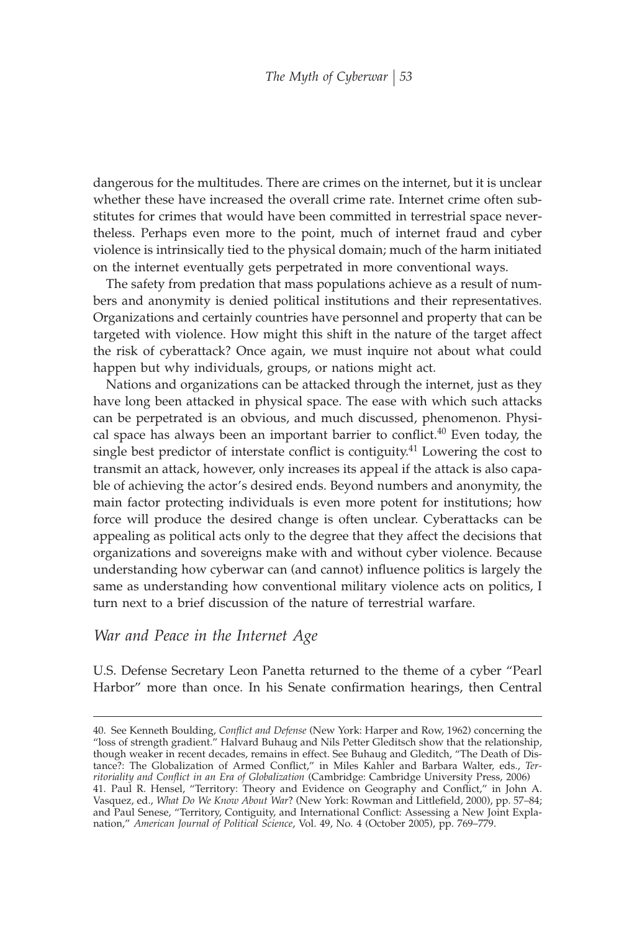dangerous for the multitudes. There are crimes on the internet, but it is unclear whether these have increased the overall crime rate. Internet crime often substitutes for crimes that would have been committed in terrestrial space nevertheless. Perhaps even more to the point, much of internet fraud and cyber violence is intrinsically tied to the physical domain; much of the harm initiated on the internet eventually gets perpetrated in more conventional ways.

The safety from predation that mass populations achieve as a result of numbers and anonymity is denied political institutions and their representatives. Organizations and certainly countries have personnel and property that can be targeted with violence. How might this shift in the nature of the target affect the risk of cyberattack? Once again, we must inquire not about what could happen but why individuals, groups, or nations might act.

Nations and organizations can be attacked through the internet, just as they have long been attacked in physical space. The ease with which such attacks can be perpetrated is an obvious, and much discussed, phenomenon. Physical space has always been an important barrier to conflict.<sup>40</sup> Even today, the single best predictor of interstate conflict is contiguity.<sup>41</sup> Lowering the cost to transmit an attack, however, only increases its appeal if the attack is also capable of achieving the actor's desired ends. Beyond numbers and anonymity, the main factor protecting individuals is even more potent for institutions; how force will produce the desired change is often unclear. Cyberattacks can be appealing as political acts only to the degree that they affect the decisions that organizations and sovereigns make with and without cyber violence. Because understanding how cyberwar can (and cannot) influence politics is largely the same as understanding how conventional military violence acts on politics, I turn next to a brief discussion of the nature of terrestrial warfare.

## *War and Peace in the Internet Age*

U.S. Defense Secretary Leon Panetta returned to the theme of a cyber "Pearl Harbor" more than once. In his Senate confirmation hearings, then Central

<sup>40.</sup> See Kenneth Boulding, *Conflict and Defense* (New York: Harper and Row, 1962) concerning the "loss of strength gradient." Halvard Buhaug and Nils Petter Gleditsch show that the relationship, though weaker in recent decades, remains in effect. See Buhaug and Gleditch, "The Death of Distance?: The Globalization of Armed Conflict," in Miles Kahler and Barbara Walter, eds., *Ter*ritoriality and Conflict in an Era of Globalization (Cambridge: Cambridge University Press, 2006) 41. Paul R. Hensel, "Territory: Theory and Evidence on Geography and Conflict," in John A. Vasquez, ed., *What Do We Know About War*? (New York: Rowman and Littlefield, 2000), pp. 57-84; and Paul Senese, "Territory, Contiguity, and International Conflict: Assessing a New Joint Explanation," *American Journal of Political Science*, Vol. 49, No. 4 (October 2005), pp. 769–779.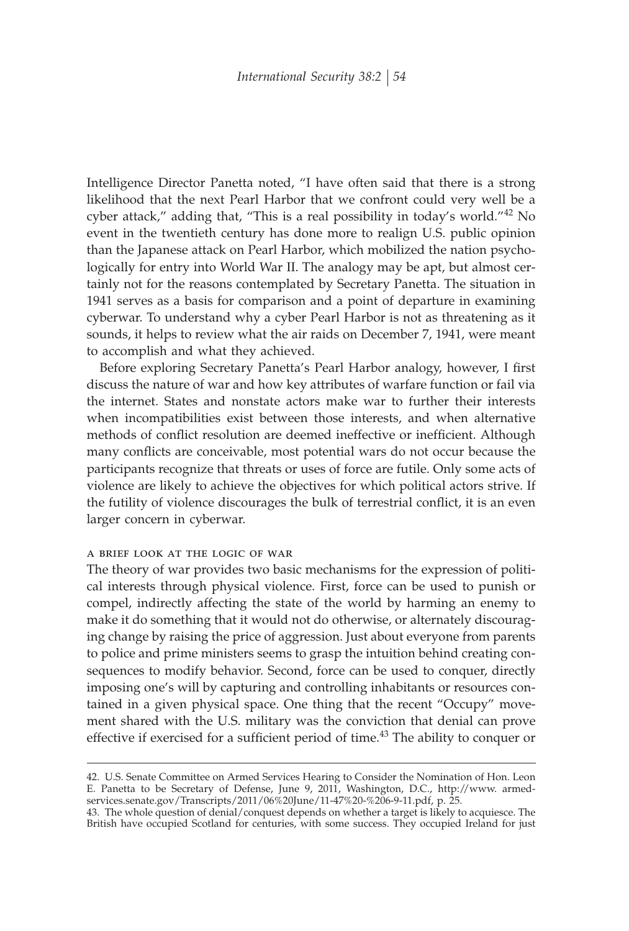Intelligence Director Panetta noted, "I have often said that there is a strong likelihood that the next Pearl Harbor that we confront could very well be a cyber attack," adding that, "This is a real possibility in today's world."<sup>42</sup> No event in the twentieth century has done more to realign U.S. public opinion than the Japanese attack on Pearl Harbor, which mobilized the nation psychologically for entry into World War II. The analogy may be apt, but almost certainly not for the reasons contemplated by Secretary Panetta. The situation in 1941 serves as a basis for comparison and a point of departure in examining cyberwar. To understand why a cyber Pearl Harbor is not as threatening as it sounds, it helps to review what the air raids on December 7, 1941, were meant to accomplish and what they achieved.

Before exploring Secretary Panetta's Pearl Harbor analogy, however, I first discuss the nature of war and how key attributes of warfare function or fail via the internet. States and nonstate actors make war to further their interests when incompatibilities exist between those interests, and when alternative methods of conflict resolution are deemed ineffective or inefficient. Although many conflicts are conceivable, most potential wars do not occur because the participants recognize that threats or uses of force are futile. Only some acts of violence are likely to achieve the objectives for which political actors strive. If the futility of violence discourages the bulk of terrestrial conflict, it is an even larger concern in cyberwar.

#### a brief look at the logic of war

The theory of war provides two basic mechanisms for the expression of political interests through physical violence. First, force can be used to punish or compel, indirectly affecting the state of the world by harming an enemy to make it do something that it would not do otherwise, or alternately discouraging change by raising the price of aggression. Just about everyone from parents to police and prime ministers seems to grasp the intuition behind creating consequences to modify behavior. Second, force can be used to conquer, directly imposing one's will by capturing and controlling inhabitants or resources contained in a given physical space. One thing that the recent "Occupy" movement shared with the U.S. military was the conviction that denial can prove effective if exercised for a sufficient period of time.<sup>43</sup> The ability to conquer or

<sup>42.</sup> U.S. Senate Committee on Armed Services Hearing to Consider the Nomination of Hon. Leon E. Panetta to be Secretary of Defense, June 9, 2011, Washington, D.C., http://www. armedservices.senate.gov/Transcripts/2011/06%20June/11-47%20-%206-9-11.pdf, p. 25.

<sup>43.</sup> The whole question of denial/conquest depends on whether a target is likely to acquiesce. The British have occupied Scotland for centuries, with some success. They occupied Ireland for just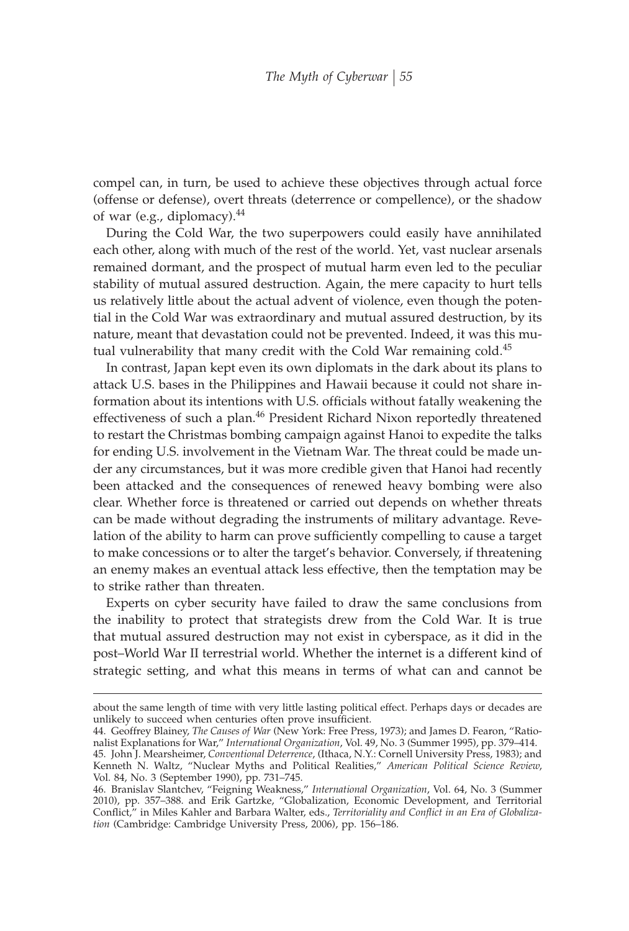compel can, in turn, be used to achieve these objectives through actual force (offense or defense), overt threats (deterrence or compellence), or the shadow of war (e.g., diplomacy). $^{44}$ 

During the Cold War, the two superpowers could easily have annihilated each other, along with much of the rest of the world. Yet, vast nuclear arsenals remained dormant, and the prospect of mutual harm even led to the peculiar stability of mutual assured destruction. Again, the mere capacity to hurt tells us relatively little about the actual advent of violence, even though the potential in the Cold War was extraordinary and mutual assured destruction, by its nature, meant that devastation could not be prevented. Indeed, it was this mutual vulnerability that many credit with the Cold War remaining cold.<sup>45</sup>

In contrast, Japan kept even its own diplomats in the dark about its plans to attack U.S. bases in the Philippines and Hawaii because it could not share information about its intentions with U.S. officials without fatally weakening the effectiveness of such a plan.<sup>46</sup> President Richard Nixon reportedly threatened to restart the Christmas bombing campaign against Hanoi to expedite the talks for ending U.S. involvement in the Vietnam War. The threat could be made under any circumstances, but it was more credible given that Hanoi had recently been attacked and the consequences of renewed heavy bombing were also clear. Whether force is threatened or carried out depends on whether threats can be made without degrading the instruments of military advantage. Revelation of the ability to harm can prove sufficiently compelling to cause a target to make concessions or to alter the target's behavior. Conversely, if threatening an enemy makes an eventual attack less effective, then the temptation may be to strike rather than threaten.

Experts on cyber security have failed to draw the same conclusions from the inability to protect that strategists drew from the Cold War. It is true that mutual assured destruction may not exist in cyberspace, as it did in the post–World War II terrestrial world. Whether the internet is a different kind of strategic setting, and what this means in terms of what can and cannot be

about the same length of time with very little lasting political effect. Perhaps days or decades are unlikely to succeed when centuries often prove insufficient.

<sup>44.</sup> Geoffrey Blainey, *The Causes of War* (New York: Free Press, 1973); and James D. Fearon, "Rationalist Explanations for War," *International Organization*, Vol. 49, No. 3 (Summer 1995), pp. 379–414.

<sup>45.</sup> John J. Mearsheimer, *Conventional Deterrence*, (Ithaca, N.Y.: Cornell University Press, 1983); and Kenneth N. Waltz, "Nuclear Myths and Political Realities," *American Political Science Review*, Vol. 84, No. 3 (September 1990), pp. 731–745.

<sup>46.</sup> Branislav Slantchev, "Feigning Weakness," *International Organization*, Vol. 64, No. 3 (Summer 2010), pp. 357–388. and Erik Gartzke, "Globalization, Economic Development, and Territorial Conflict," in Miles Kahler and Barbara Walter, eds., *Territoriality and Conflict in an Era of Globalization* (Cambridge: Cambridge University Press, 2006), pp. 156–186.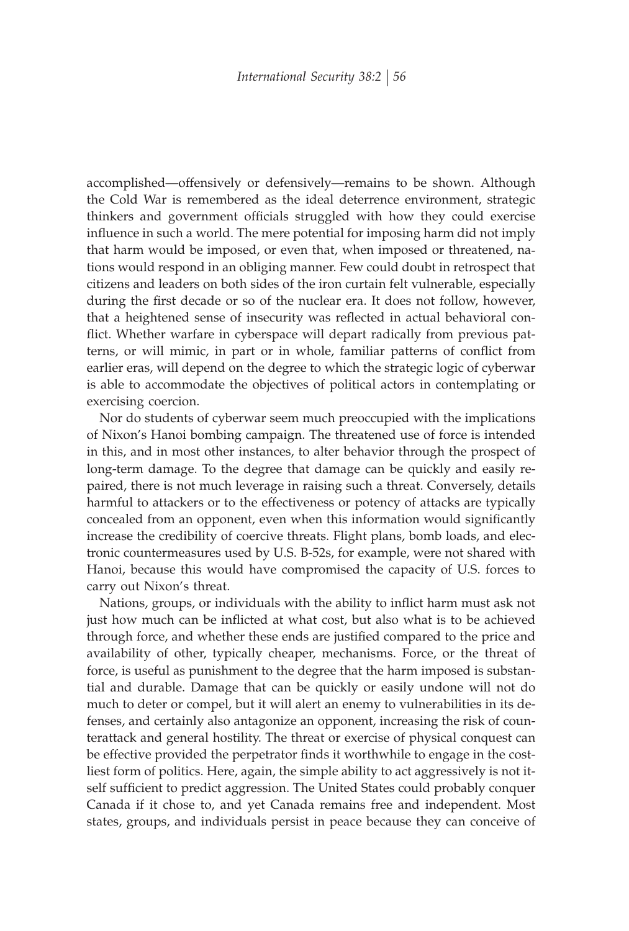accomplished—offensively or defensively—remains to be shown. Although the Cold War is remembered as the ideal deterrence environment, strategic thinkers and government officials struggled with how they could exercise influence in such a world. The mere potential for imposing harm did not imply that harm would be imposed, or even that, when imposed or threatened, nations would respond in an obliging manner. Few could doubt in retrospect that citizens and leaders on both sides of the iron curtain felt vulnerable, especially during the first decade or so of the nuclear era. It does not follow, however, that a heightened sense of insecurity was reflected in actual behavioral conflict. Whether warfare in cyberspace will depart radically from previous patterns, or will mimic, in part or in whole, familiar patterns of conflict from earlier eras, will depend on the degree to which the strategic logic of cyberwar is able to accommodate the objectives of political actors in contemplating or exercising coercion.

Nor do students of cyberwar seem much preoccupied with the implications of Nixon's Hanoi bombing campaign. The threatened use of force is intended in this, and in most other instances, to alter behavior through the prospect of long-term damage. To the degree that damage can be quickly and easily repaired, there is not much leverage in raising such a threat. Conversely, details harmful to attackers or to the effectiveness or potency of attacks are typically concealed from an opponent, even when this information would significantly increase the credibility of coercive threats. Flight plans, bomb loads, and electronic countermeasures used by U.S. B-52s, for example, were not shared with Hanoi, because this would have compromised the capacity of U.S. forces to carry out Nixon's threat.

Nations, groups, or individuals with the ability to inflict harm must ask not just how much can be inflicted at what cost, but also what is to be achieved through force, and whether these ends are justified compared to the price and availability of other, typically cheaper, mechanisms. Force, or the threat of force, is useful as punishment to the degree that the harm imposed is substantial and durable. Damage that can be quickly or easily undone will not do much to deter or compel, but it will alert an enemy to vulnerabilities in its defenses, and certainly also antagonize an opponent, increasing the risk of counterattack and general hostility. The threat or exercise of physical conquest can be effective provided the perpetrator finds it worthwhile to engage in the costliest form of politics. Here, again, the simple ability to act aggressively is not itself sufficient to predict aggression. The United States could probably conquer Canada if it chose to, and yet Canada remains free and independent. Most states, groups, and individuals persist in peace because they can conceive of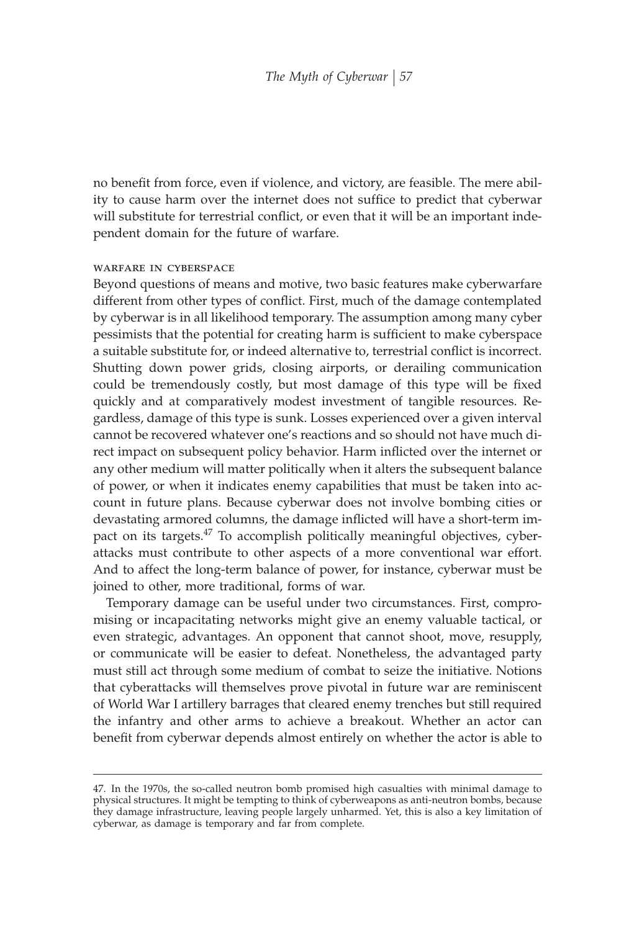no benefit from force, even if violence, and victory, are feasible. The mere ability to cause harm over the internet does not suffice to predict that cyberwar will substitute for terrestrial conflict, or even that it will be an important independent domain for the future of warfare.

#### warfare in cyberspace

Beyond questions of means and motive, two basic features make cyberwarfare different from other types of conflict. First, much of the damage contemplated by cyberwar is in all likelihood temporary. The assumption among many cyber pessimists that the potential for creating harm is sufficient to make cyberspace a suitable substitute for, or indeed alternative to, terrestrial conflict is incorrect. Shutting down power grids, closing airports, or derailing communication could be tremendously costly, but most damage of this type will be fixed quickly and at comparatively modest investment of tangible resources. Regardless, damage of this type is sunk. Losses experienced over a given interval cannot be recovered whatever one's reactions and so should not have much direct impact on subsequent policy behavior. Harm inflicted over the internet or any other medium will matter politically when it alters the subsequent balance of power, or when it indicates enemy capabilities that must be taken into account in future plans. Because cyberwar does not involve bombing cities or devastating armored columns, the damage inflicted will have a short-term impact on its targets.<sup>47</sup> To accomplish politically meaningful objectives, cyberattacks must contribute to other aspects of a more conventional war effort. And to affect the long-term balance of power, for instance, cyberwar must be joined to other, more traditional, forms of war.

Temporary damage can be useful under two circumstances. First, compromising or incapacitating networks might give an enemy valuable tactical, or even strategic, advantages. An opponent that cannot shoot, move, resupply, or communicate will be easier to defeat. Nonetheless, the advantaged party must still act through some medium of combat to seize the initiative. Notions that cyberattacks will themselves prove pivotal in future war are reminiscent of World War I artillery barrages that cleared enemy trenches but still required the infantry and other arms to achieve a breakout. Whether an actor can benefit from cyberwar depends almost entirely on whether the actor is able to

<sup>47.</sup> In the 1970s, the so-called neutron bomb promised high casualties with minimal damage to physical structures. It might be tempting to think of cyberweapons as anti-neutron bombs, because they damage infrastructure, leaving people largely unharmed. Yet, this is also a key limitation of cyberwar, as damage is temporary and far from complete.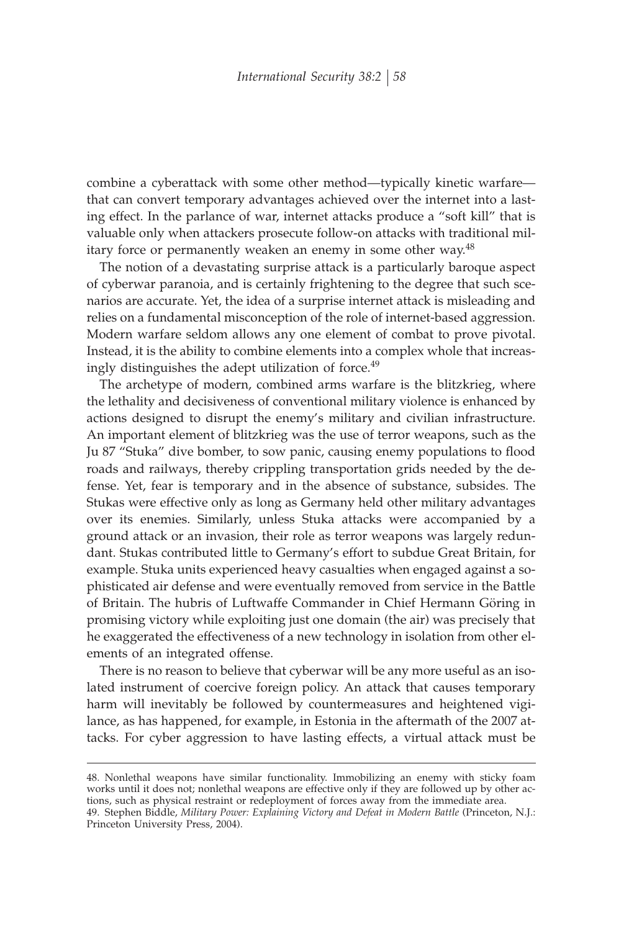combine a cyberattack with some other method—typically kinetic warfare that can convert temporary advantages achieved over the internet into a lasting effect. In the parlance of war, internet attacks produce a "soft kill" that is valuable only when attackers prosecute follow-on attacks with traditional military force or permanently weaken an enemy in some other way.<sup>48</sup>

The notion of a devastating surprise attack is a particularly baroque aspect of cyberwar paranoia, and is certainly frightening to the degree that such scenarios are accurate. Yet, the idea of a surprise internet attack is misleading and relies on a fundamental misconception of the role of internet-based aggression. Modern warfare seldom allows any one element of combat to prove pivotal. Instead, it is the ability to combine elements into a complex whole that increasingly distinguishes the adept utilization of force.<sup>49</sup>

The archetype of modern, combined arms warfare is the blitzkrieg, where the lethality and decisiveness of conventional military violence is enhanced by actions designed to disrupt the enemy's military and civilian infrastructure. An important element of blitzkrieg was the use of terror weapons, such as the Ju 87 "Stuka" dive bomber, to sow panic, causing enemy populations to flood roads and railways, thereby crippling transportation grids needed by the defense. Yet, fear is temporary and in the absence of substance, subsides. The Stukas were effective only as long as Germany held other military advantages over its enemies. Similarly, unless Stuka attacks were accompanied by a ground attack or an invasion, their role as terror weapons was largely redundant. Stukas contributed little to Germany's effort to subdue Great Britain, for example. Stuka units experienced heavy casualties when engaged against a sophisticated air defense and were eventually removed from service in the Battle of Britain. The hubris of Luftwaffe Commander in Chief Hermann Göring in promising victory while exploiting just one domain (the air) was precisely that he exaggerated the effectiveness of a new technology in isolation from other elements of an integrated offense.

There is no reason to believe that cyberwar will be any more useful as an isolated instrument of coercive foreign policy. An attack that causes temporary harm will inevitably be followed by countermeasures and heightened vigilance, as has happened, for example, in Estonia in the aftermath of the 2007 attacks. For cyber aggression to have lasting effects, a virtual attack must be

<sup>48.</sup> Nonlethal weapons have similar functionality. Immobilizing an enemy with sticky foam works until it does not; nonlethal weapons are effective only if they are followed up by other actions, such as physical restraint or redeployment of forces away from the immediate area.

<sup>49.</sup> Stephen Biddle, *Military Power: Explaining Victory and Defeat in Modern Battle* (Princeton, N.J.: Princeton University Press, 2004).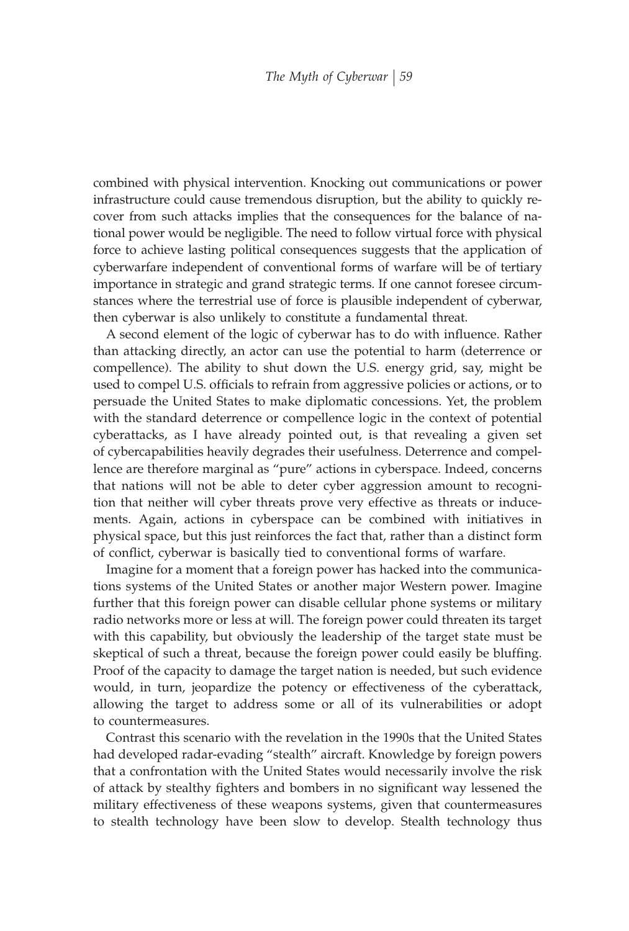combined with physical intervention. Knocking out communications or power infrastructure could cause tremendous disruption, but the ability to quickly recover from such attacks implies that the consequences for the balance of national power would be negligible. The need to follow virtual force with physical force to achieve lasting political consequences suggests that the application of cyberwarfare independent of conventional forms of warfare will be of tertiary importance in strategic and grand strategic terms. If one cannot foresee circumstances where the terrestrial use of force is plausible independent of cyberwar, then cyberwar is also unlikely to constitute a fundamental threat.

A second element of the logic of cyberwar has to do with influence. Rather than attacking directly, an actor can use the potential to harm (deterrence or compellence). The ability to shut down the U.S. energy grid, say, might be used to compel U.S. officials to refrain from aggressive policies or actions, or to persuade the United States to make diplomatic concessions. Yet, the problem with the standard deterrence or compellence logic in the context of potential cyberattacks, as I have already pointed out, is that revealing a given set of cybercapabilities heavily degrades their usefulness. Deterrence and compellence are therefore marginal as "pure" actions in cyberspace. Indeed, concerns that nations will not be able to deter cyber aggression amount to recognition that neither will cyber threats prove very effective as threats or inducements. Again, actions in cyberspace can be combined with initiatives in physical space, but this just reinforces the fact that, rather than a distinct form of conflict, cyberwar is basically tied to conventional forms of warfare.

Imagine for a moment that a foreign power has hacked into the communications systems of the United States or another major Western power. Imagine further that this foreign power can disable cellular phone systems or military radio networks more or less at will. The foreign power could threaten its target with this capability, but obviously the leadership of the target state must be skeptical of such a threat, because the foreign power could easily be bluffing. Proof of the capacity to damage the target nation is needed, but such evidence would, in turn, jeopardize the potency or effectiveness of the cyberattack, allowing the target to address some or all of its vulnerabilities or adopt to countermeasures.

Contrast this scenario with the revelation in the 1990s that the United States had developed radar-evading "stealth" aircraft. Knowledge by foreign powers that a confrontation with the United States would necessarily involve the risk of attack by stealthy fighters and bombers in no significant way lessened the military effectiveness of these weapons systems, given that countermeasures to stealth technology have been slow to develop. Stealth technology thus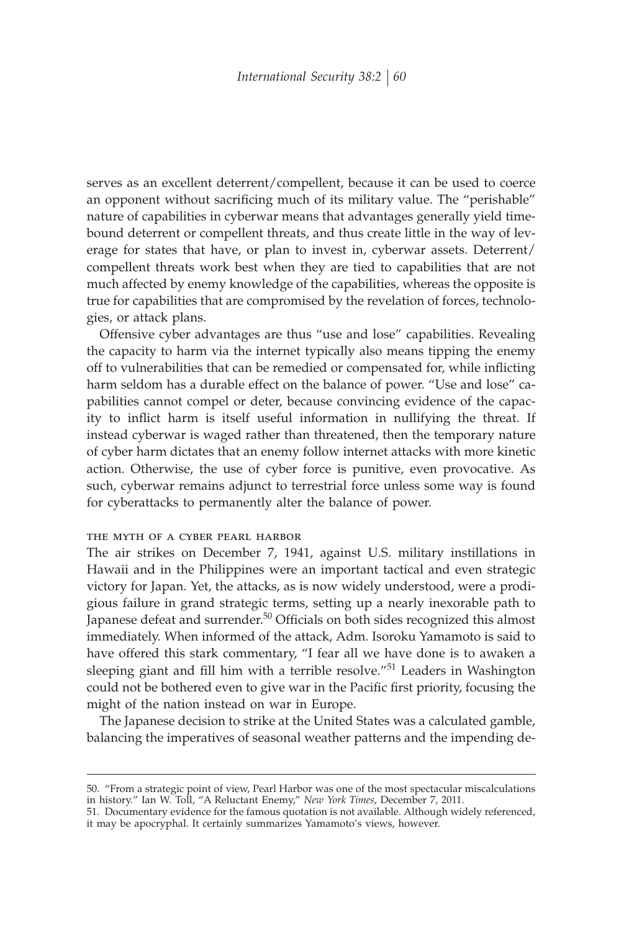serves as an excellent deterrent/compellent, because it can be used to coerce an opponent without sacrificing much of its military value. The "perishable" nature of capabilities in cyberwar means that advantages generally yield timebound deterrent or compellent threats, and thus create little in the way of leverage for states that have, or plan to invest in, cyberwar assets. Deterrent/ compellent threats work best when they are tied to capabilities that are not much affected by enemy knowledge of the capabilities, whereas the opposite is true for capabilities that are compromised by the revelation of forces, technologies, or attack plans.

Offensive cyber advantages are thus "use and lose" capabilities. Revealing the capacity to harm via the internet typically also means tipping the enemy off to vulnerabilities that can be remedied or compensated for, while inflicting harm seldom has a durable effect on the balance of power. "Use and lose" capabilities cannot compel or deter, because convincing evidence of the capacity to inflict harm is itself useful information in nullifying the threat. If instead cyberwar is waged rather than threatened, then the temporary nature of cyber harm dictates that an enemy follow internet attacks with more kinetic action. Otherwise, the use of cyber force is punitive, even provocative. As such, cyberwar remains adjunct to terrestrial force unless some way is found for cyberattacks to permanently alter the balance of power.

#### the myth of a cyber pearl harbor

The air strikes on December 7, 1941, against U.S. military instillations in Hawaii and in the Philippines were an important tactical and even strategic victory for Japan. Yet, the attacks, as is now widely understood, were a prodigious failure in grand strategic terms, setting up a nearly inexorable path to Japanese defeat and surrender.<sup>50</sup> Officials on both sides recognized this almost immediately. When informed of the attack, Adm. Isoroku Yamamoto is said to have offered this stark commentary, "I fear all we have done is to awaken a sleeping giant and fill him with a terrible resolve."<sup>51</sup> Leaders in Washington could not be bothered even to give war in the Pacific first priority, focusing the might of the nation instead on war in Europe.

The Japanese decision to strike at the United States was a calculated gamble, balancing the imperatives of seasonal weather patterns and the impending de-

<sup>50. &</sup>quot;From a strategic point of view, Pearl Harbor was one of the most spectacular miscalculations in history." Ian W. Toll, "A Reluctant Enemy," *New York Times*, December 7, 2011.

<sup>51.</sup> Documentary evidence for the famous quotation is not available. Although widely referenced, it may be apocryphal. It certainly summarizes Yamamoto's views, however.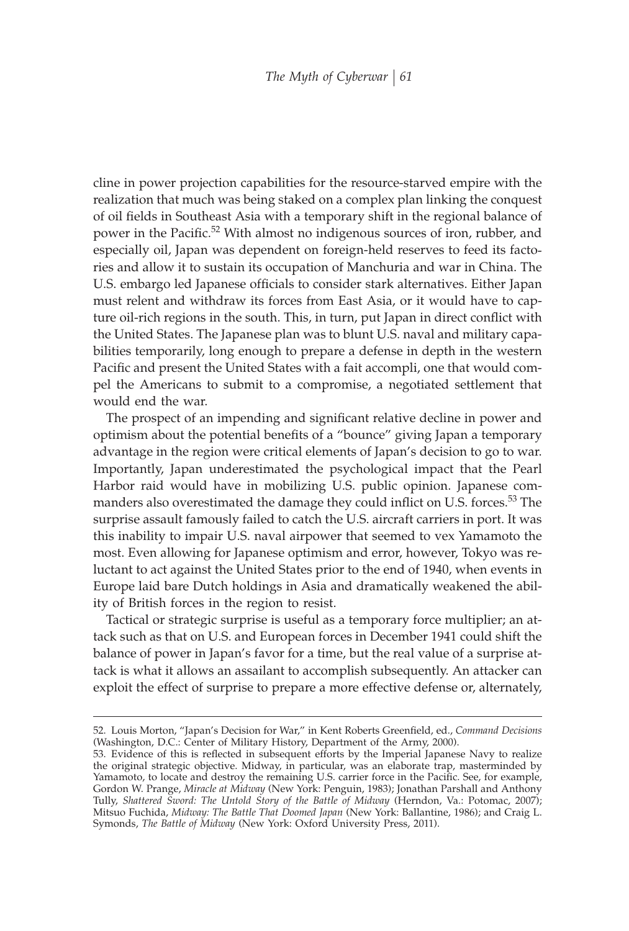cline in power projection capabilities for the resource-starved empire with the realization that much was being staked on a complex plan linking the conquest of oil fields in Southeast Asia with a temporary shift in the regional balance of power in the Pacific.<sup>52</sup> With almost no indigenous sources of iron, rubber, and especially oil, Japan was dependent on foreign-held reserves to feed its factories and allow it to sustain its occupation of Manchuria and war in China. The U.S. embargo led Japanese officials to consider stark alternatives. Either Japan must relent and withdraw its forces from East Asia, or it would have to capture oil-rich regions in the south. This, in turn, put Japan in direct conflict with the United States. The Japanese plan was to blunt U.S. naval and military capabilities temporarily, long enough to prepare a defense in depth in the western Pacific and present the United States with a fait accompli, one that would compel the Americans to submit to a compromise, a negotiated settlement that would end the war.

The prospect of an impending and significant relative decline in power and optimism about the potential benefits of a "bounce" giving Japan a temporary advantage in the region were critical elements of Japan's decision to go to war. Importantly, Japan underestimated the psychological impact that the Pearl Harbor raid would have in mobilizing U.S. public opinion. Japanese commanders also overestimated the damage they could inflict on U.S. forces.<sup>53</sup> The surprise assault famously failed to catch the U.S. aircraft carriers in port. It was this inability to impair U.S. naval airpower that seemed to vex Yamamoto the most. Even allowing for Japanese optimism and error, however, Tokyo was reluctant to act against the United States prior to the end of 1940, when events in Europe laid bare Dutch holdings in Asia and dramatically weakened the ability of British forces in the region to resist.

Tactical or strategic surprise is useful as a temporary force multiplier; an attack such as that on U.S. and European forces in December 1941 could shift the balance of power in Japan's favor for a time, but the real value of a surprise attack is what it allows an assailant to accomplish subsequently. An attacker can exploit the effect of surprise to prepare a more effective defense or, alternately,

<sup>52.</sup> Louis Morton, "Japan's Decision for War," in Kent Roberts Greenfield, ed., Command Decisions (Washington, D.C.: Center of Military History, Department of the Army, 2000).

<sup>53.</sup> Evidence of this is reflected in subsequent efforts by the Imperial Japanese Navy to realize the original strategic objective. Midway, in particular, was an elaborate trap, masterminded by Yamamoto, to locate and destroy the remaining U.S. carrier force in the Pacific. See, for example, Gordon W. Prange, *Miracle at Midway* (New York: Penguin, 1983); Jonathan Parshall and Anthony Tully, *Shattered Sword: The Untold Story of the Battle of Midway* (Herndon, Va.: Potomac, 2007); Mitsuo Fuchida, *Midway: The Battle That Doomed Japan* (New York: Ballantine, 1986); and Craig L. Symonds, *The Battle of Midway* (New York: Oxford University Press, 2011).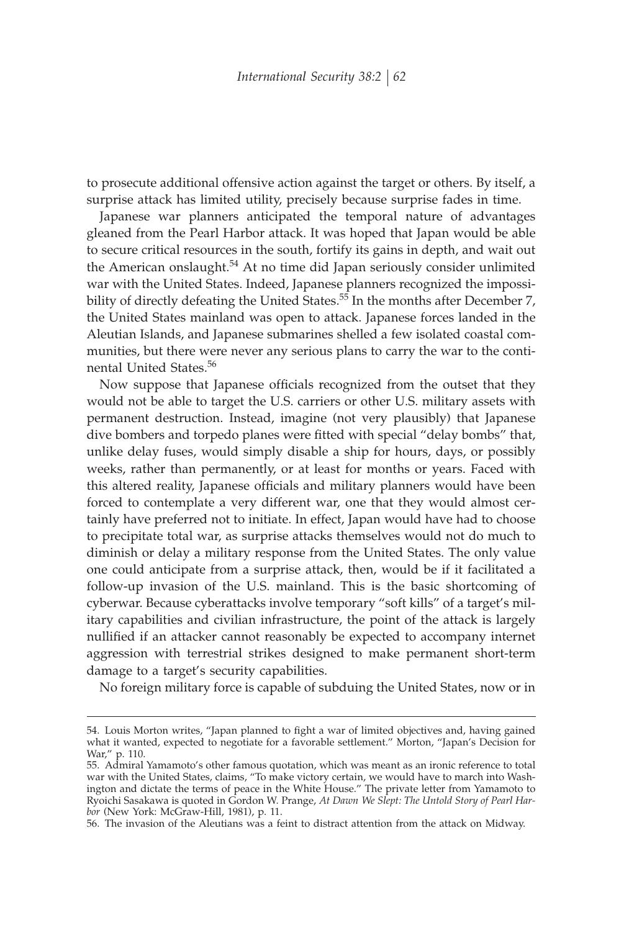to prosecute additional offensive action against the target or others. By itself, a surprise attack has limited utility, precisely because surprise fades in time.

Japanese war planners anticipated the temporal nature of advantages gleaned from the Pearl Harbor attack. It was hoped that Japan would be able to secure critical resources in the south, fortify its gains in depth, and wait out the American onslaught.<sup>54</sup> At no time did Japan seriously consider unlimited war with the United States. Indeed, Japanese planners recognized the impossibility of directly defeating the United States.<sup>55</sup> In the months after December 7, the United States mainland was open to attack. Japanese forces landed in the Aleutian Islands, and Japanese submarines shelled a few isolated coastal communities, but there were never any serious plans to carry the war to the continental United States.<sup>56</sup>

Now suppose that Japanese officials recognized from the outset that they would not be able to target the U.S. carriers or other U.S. military assets with permanent destruction. Instead, imagine (not very plausibly) that Japanese dive bombers and torpedo planes were fitted with special "delay bombs" that, unlike delay fuses, would simply disable a ship for hours, days, or possibly weeks, rather than permanently, or at least for months or years. Faced with this altered reality, Japanese officials and military planners would have been forced to contemplate a very different war, one that they would almost certainly have preferred not to initiate. In effect, Japan would have had to choose to precipitate total war, as surprise attacks themselves would not do much to diminish or delay a military response from the United States. The only value one could anticipate from a surprise attack, then, would be if it facilitated a follow-up invasion of the U.S. mainland. This is the basic shortcoming of cyberwar. Because cyberattacks involve temporary "soft kills" of a target's military capabilities and civilian infrastructure, the point of the attack is largely nullified if an attacker cannot reasonably be expected to accompany internet aggression with terrestrial strikes designed to make permanent short-term damage to a target's security capabilities.

No foreign military force is capable of subduing the United States, now or in

<sup>54.</sup> Louis Morton writes, "Japan planned to fight a war of limited objectives and, having gained what it wanted, expected to negotiate for a favorable settlement." Morton, "Japan's Decision for War," p. 110.

<sup>55.</sup> Admiral Yamamoto's other famous quotation, which was meant as an ironic reference to total war with the United States, claims, "To make victory certain, we would have to march into Washington and dictate the terms of peace in the White House." The private letter from Yamamoto to Ryoichi Sasakawa is quoted in Gordon W. Prange, *At Dawn We Slept: The Untold Story of Pearl Harbor* (New York: McGraw-Hill, 1981), p. 11.

<sup>56.</sup> The invasion of the Aleutians was a feint to distract attention from the attack on Midway.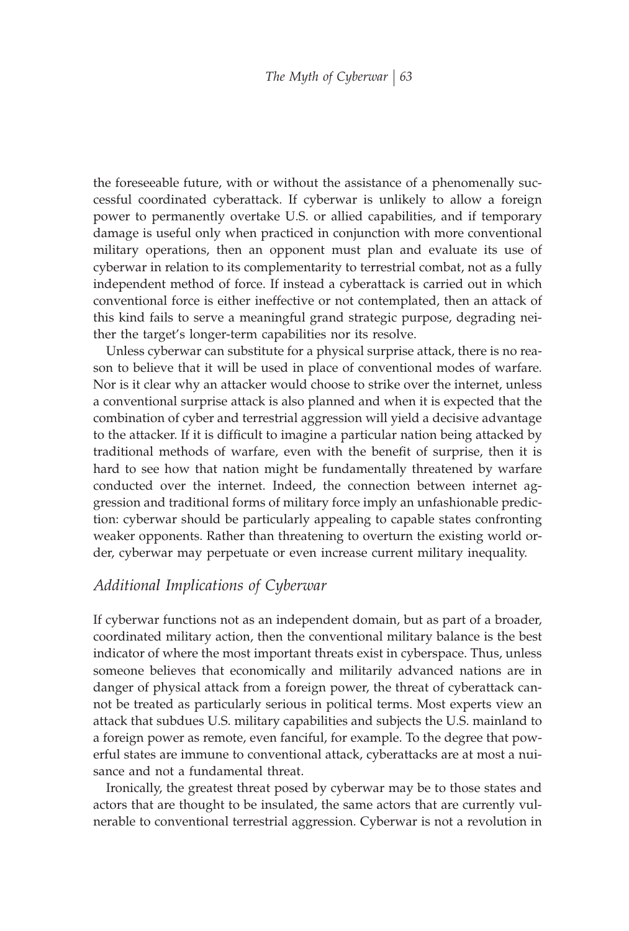the foreseeable future, with or without the assistance of a phenomenally successful coordinated cyberattack. If cyberwar is unlikely to allow a foreign power to permanently overtake U.S. or allied capabilities, and if temporary damage is useful only when practiced in conjunction with more conventional military operations, then an opponent must plan and evaluate its use of cyberwar in relation to its complementarity to terrestrial combat, not as a fully independent method of force. If instead a cyberattack is carried out in which conventional force is either ineffective or not contemplated, then an attack of this kind fails to serve a meaningful grand strategic purpose, degrading neither the target's longer-term capabilities nor its resolve.

Unless cyberwar can substitute for a physical surprise attack, there is no reason to believe that it will be used in place of conventional modes of warfare. Nor is it clear why an attacker would choose to strike over the internet, unless a conventional surprise attack is also planned and when it is expected that the combination of cyber and terrestrial aggression will yield a decisive advantage to the attacker. If it is difficult to imagine a particular nation being attacked by traditional methods of warfare, even with the benefit of surprise, then it is hard to see how that nation might be fundamentally threatened by warfare conducted over the internet. Indeed, the connection between internet aggression and traditional forms of military force imply an unfashionable prediction: cyberwar should be particularly appealing to capable states confronting weaker opponents. Rather than threatening to overturn the existing world order, cyberwar may perpetuate or even increase current military inequality.

## *Additional Implications of Cyberwar*

If cyberwar functions not as an independent domain, but as part of a broader, coordinated military action, then the conventional military balance is the best indicator of where the most important threats exist in cyberspace. Thus, unless someone believes that economically and militarily advanced nations are in danger of physical attack from a foreign power, the threat of cyberattack cannot be treated as particularly serious in political terms. Most experts view an attack that subdues U.S. military capabilities and subjects the U.S. mainland to a foreign power as remote, even fanciful, for example. To the degree that powerful states are immune to conventional attack, cyberattacks are at most a nuisance and not a fundamental threat.

Ironically, the greatest threat posed by cyberwar may be to those states and actors that are thought to be insulated, the same actors that are currently vulnerable to conventional terrestrial aggression. Cyberwar is not a revolution in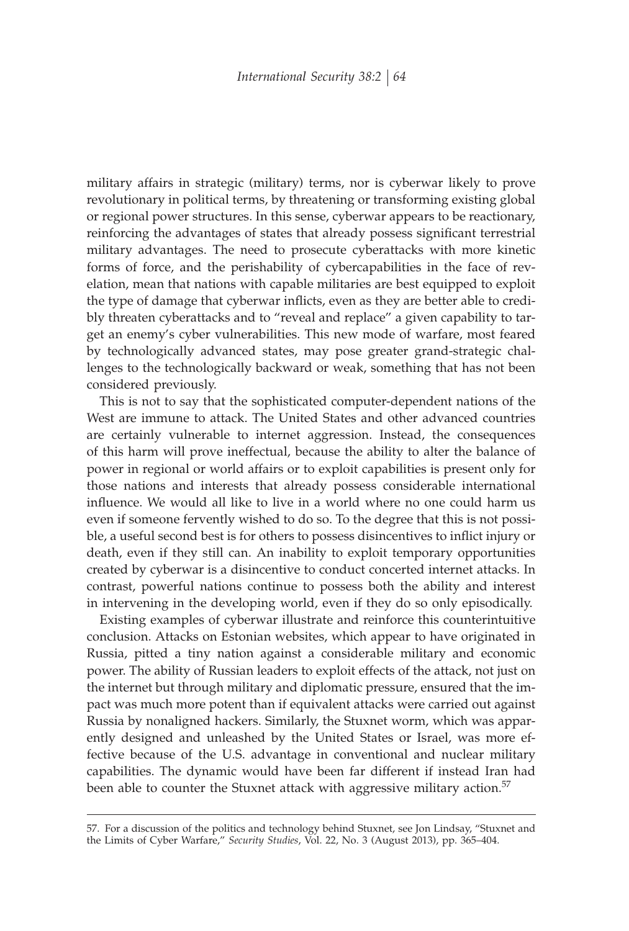military affairs in strategic (military) terms, nor is cyberwar likely to prove revolutionary in political terms, by threatening or transforming existing global or regional power structures. In this sense, cyberwar appears to be reactionary, reinforcing the advantages of states that already possess significant terrestrial military advantages. The need to prosecute cyberattacks with more kinetic forms of force, and the perishability of cybercapabilities in the face of revelation, mean that nations with capable militaries are best equipped to exploit the type of damage that cyberwar inflicts, even as they are better able to credibly threaten cyberattacks and to "reveal and replace" a given capability to target an enemy's cyber vulnerabilities. This new mode of warfare, most feared by technologically advanced states, may pose greater grand-strategic challenges to the technologically backward or weak, something that has not been considered previously.

This is not to say that the sophisticated computer-dependent nations of the West are immune to attack. The United States and other advanced countries are certainly vulnerable to internet aggression. Instead, the consequences of this harm will prove ineffectual, because the ability to alter the balance of power in regional or world affairs or to exploit capabilities is present only for those nations and interests that already possess considerable international influence. We would all like to live in a world where no one could harm us even if someone fervently wished to do so. To the degree that this is not possible, a useful second best is for others to possess disincentives to inflict injury or death, even if they still can. An inability to exploit temporary opportunities created by cyberwar is a disincentive to conduct concerted internet attacks. In contrast, powerful nations continue to possess both the ability and interest in intervening in the developing world, even if they do so only episodically.

Existing examples of cyberwar illustrate and reinforce this counterintuitive conclusion. Attacks on Estonian websites, which appear to have originated in Russia, pitted a tiny nation against a considerable military and economic power. The ability of Russian leaders to exploit effects of the attack, not just on the internet but through military and diplomatic pressure, ensured that the impact was much more potent than if equivalent attacks were carried out against Russia by nonaligned hackers. Similarly, the Stuxnet worm, which was apparently designed and unleashed by the United States or Israel, was more effective because of the U.S. advantage in conventional and nuclear military capabilities. The dynamic would have been far different if instead Iran had been able to counter the Stuxnet attack with aggressive military action.<sup>57</sup>

<sup>57.</sup> For a discussion of the politics and technology behind Stuxnet, see Jon Lindsay, "Stuxnet and the Limits of Cyber Warfare," *Security Studies*, Vol. 22, No. 3 (August 2013), pp. 365–404.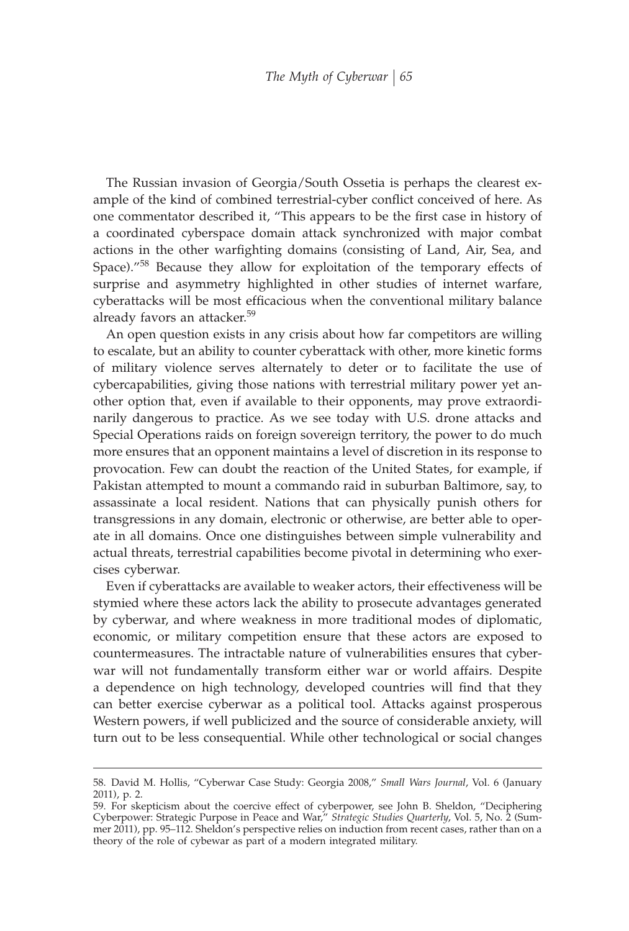The Russian invasion of Georgia/South Ossetia is perhaps the clearest example of the kind of combined terrestrial-cyber conflict conceived of here. As one commentator described it, "This appears to be the first case in history of a coordinated cyberspace domain attack synchronized with major combat actions in the other warfighting domains (consisting of Land, Air, Sea, and Space)."<sup>58</sup> Because they allow for exploitation of the temporary effects of surprise and asymmetry highlighted in other studies of internet warfare, cyberattacks will be most efficacious when the conventional military balance already favors an attacker.<sup>59</sup>

An open question exists in any crisis about how far competitors are willing to escalate, but an ability to counter cyberattack with other, more kinetic forms of military violence serves alternately to deter or to facilitate the use of cybercapabilities, giving those nations with terrestrial military power yet another option that, even if available to their opponents, may prove extraordinarily dangerous to practice. As we see today with U.S. drone attacks and Special Operations raids on foreign sovereign territory, the power to do much more ensures that an opponent maintains a level of discretion in its response to provocation. Few can doubt the reaction of the United States, for example, if Pakistan attempted to mount a commando raid in suburban Baltimore, say, to assassinate a local resident. Nations that can physically punish others for transgressions in any domain, electronic or otherwise, are better able to operate in all domains. Once one distinguishes between simple vulnerability and actual threats, terrestrial capabilities become pivotal in determining who exercises cyberwar.

Even if cyberattacks are available to weaker actors, their effectiveness will be stymied where these actors lack the ability to prosecute advantages generated by cyberwar, and where weakness in more traditional modes of diplomatic, economic, or military competition ensure that these actors are exposed to countermeasures. The intractable nature of vulnerabilities ensures that cyberwar will not fundamentally transform either war or world affairs. Despite a dependence on high technology, developed countries will find that they can better exercise cyberwar as a political tool. Attacks against prosperous Western powers, if well publicized and the source of considerable anxiety, will turn out to be less consequential. While other technological or social changes

<sup>58.</sup> David M. Hollis, "Cyberwar Case Study: Georgia 2008," *Small Wars Journal*, Vol. 6 (January 2011), p. 2.

<sup>59.</sup> For skepticism about the coercive effect of cyberpower, see John B. Sheldon, "Deciphering Cyberpower: Strategic Purpose in Peace and War," *Strategic Studies Quarterly*, Vol. 5, No. 2 (Summer 2011), pp. 95–112. Sheldon's perspective relies on induction from recent cases, rather than on a theory of the role of cybewar as part of a modern integrated military.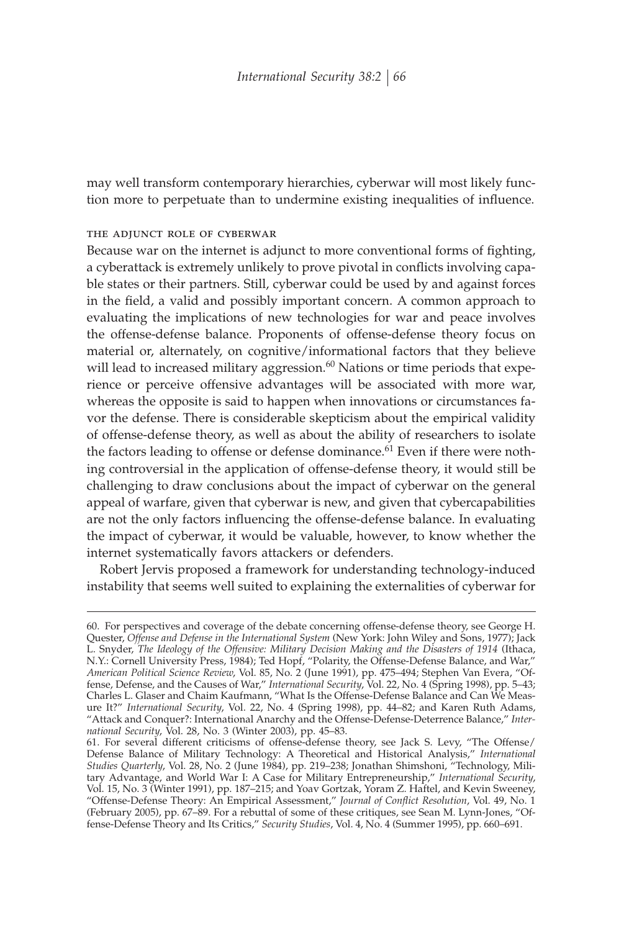may well transform contemporary hierarchies, cyberwar will most likely function more to perpetuate than to undermine existing inequalities of influence.

#### THE ADJUNCT ROLE OF CYBERWAR

Because war on the internet is adjunct to more conventional forms of fighting, a cyberattack is extremely unlikely to prove pivotal in conflicts involving capable states or their partners. Still, cyberwar could be used by and against forces in the field, a valid and possibly important concern. A common approach to evaluating the implications of new technologies for war and peace involves the offense-defense balance. Proponents of offense-defense theory focus on material or, alternately, on cognitive/informational factors that they believe will lead to increased military aggression. $60$  Nations or time periods that experience or perceive offensive advantages will be associated with more war, whereas the opposite is said to happen when innovations or circumstances favor the defense. There is considerable skepticism about the empirical validity of offense-defense theory, as well as about the ability of researchers to isolate the factors leading to offense or defense dominance.<sup>61</sup> Even if there were nothing controversial in the application of offense-defense theory, it would still be challenging to draw conclusions about the impact of cyberwar on the general appeal of warfare, given that cyberwar is new, and given that cybercapabilities are not the only factors influencing the offense-defense balance. In evaluating the impact of cyberwar, it would be valuable, however, to know whether the internet systematically favors attackers or defenders.

Robert Jervis proposed a framework for understanding technology-induced instability that seems well suited to explaining the externalities of cyberwar for

<sup>60.</sup> For perspectives and coverage of the debate concerning offense-defense theory, see George H. Quester, *Offense and Defense in the International System* (New York: John Wiley and Sons, 1977); Jack L. Snyder, *The Ideology of the Offensive: Military Decision Making and the Disasters of 1914* (Ithaca, N.Y.: Cornell University Press, 1984); Ted Hopf, "Polarity, the Offense-Defense Balance, and War," *American Political Science Review*, Vol. 85, No. 2 (June 1991), pp. 475–494; Stephen Van Evera, "Offense, Defense, and the Causes of War," *International Security*, Vol. 22, No. 4 (Spring 1998), pp. 5–43; Charles L. Glaser and Chaim Kaufmann, "What Is the Offense-Defense Balance and Can We Measure It?" *International Security*, Vol. 22, No. 4 (Spring 1998), pp. 44–82; and Karen Ruth Adams, "Attack and Conquer?: International Anarchy and the Offense-Defense-Deterrence Balance," *International Security*, Vol. 28, No. 3 (Winter 2003), pp. 45–83.

<sup>61.</sup> For several different criticisms of offense-defense theory, see Jack S. Levy, "The Offense/ Defense Balance of Military Technology: A Theoretical and Historical Analysis," *International Studies Quarterly*, Vol. 28, No. 2 (June 1984), pp. 219–238; Jonathan Shimshoni, "Technology, Military Advantage, and World War I: A Case for Military Entrepreneurship," *International Security*, Vol. 15, No. 3 (Winter 1991), pp. 187–215; and Yoav Gortzak, Yoram Z. Haftel, and Kevin Sweeney, "Offense-Defense Theory: An Empirical Assessment," *Journal of Conflict Resolution*, Vol. 49, No. 1 (February 2005), pp. 67–89. For a rebuttal of some of these critiques, see Sean M. Lynn-Jones, "Offense-Defense Theory and Its Critics," *Security Studies*, Vol. 4, No. 4 (Summer 1995), pp. 660–691.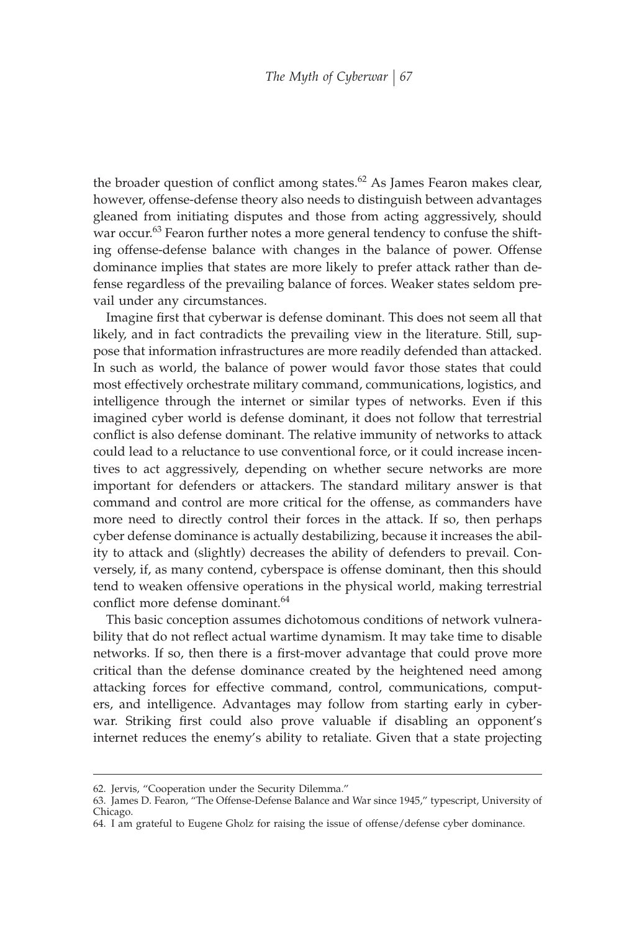the broader question of conflict among states.<sup>62</sup> As James Fearon makes clear, however, offense-defense theory also needs to distinguish between advantages gleaned from initiating disputes and those from acting aggressively, should war occur.<sup>63</sup> Fearon further notes a more general tendency to confuse the shifting offense-defense balance with changes in the balance of power. Offense dominance implies that states are more likely to prefer attack rather than defense regardless of the prevailing balance of forces. Weaker states seldom prevail under any circumstances.

Imagine first that cyberwar is defense dominant. This does not seem all that likely, and in fact contradicts the prevailing view in the literature. Still, suppose that information infrastructures are more readily defended than attacked. In such as world, the balance of power would favor those states that could most effectively orchestrate military command, communications, logistics, and intelligence through the internet or similar types of networks. Even if this imagined cyber world is defense dominant, it does not follow that terrestrial conflict is also defense dominant. The relative immunity of networks to attack could lead to a reluctance to use conventional force, or it could increase incentives to act aggressively, depending on whether secure networks are more important for defenders or attackers. The standard military answer is that command and control are more critical for the offense, as commanders have more need to directly control their forces in the attack. If so, then perhaps cyber defense dominance is actually destabilizing, because it increases the ability to attack and (slightly) decreases the ability of defenders to prevail. Conversely, if, as many contend, cyberspace is offense dominant, then this should tend to weaken offensive operations in the physical world, making terrestrial conflict more defense dominant.<sup>64</sup>

This basic conception assumes dichotomous conditions of network vulnerability that do not reflect actual wartime dynamism. It may take time to disable networks. If so, then there is a first-mover advantage that could prove more critical than the defense dominance created by the heightened need among attacking forces for effective command, control, communications, computers, and intelligence. Advantages may follow from starting early in cyberwar. Striking first could also prove valuable if disabling an opponent's internet reduces the enemy's ability to retaliate. Given that a state projecting

<sup>62.</sup> Jervis, "Cooperation under the Security Dilemma."

<sup>63.</sup> James D. Fearon, "The Offense-Defense Balance and War since 1945," typescript, University of Chicago.

<sup>64.</sup> I am grateful to Eugene Gholz for raising the issue of offense/defense cyber dominance.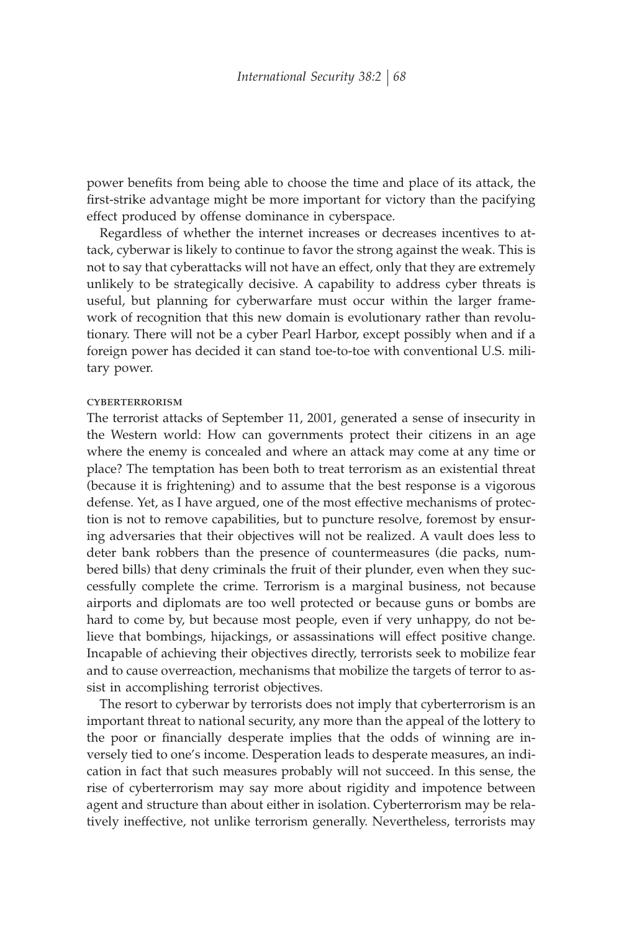power benefits from being able to choose the time and place of its attack, the first-strike advantage might be more important for victory than the pacifying effect produced by offense dominance in cyberspace.

Regardless of whether the internet increases or decreases incentives to attack, cyberwar is likely to continue to favor the strong against the weak. This is not to say that cyberattacks will not have an effect, only that they are extremely unlikely to be strategically decisive. A capability to address cyber threats is useful, but planning for cyberwarfare must occur within the larger framework of recognition that this new domain is evolutionary rather than revolutionary. There will not be a cyber Pearl Harbor, except possibly when and if a foreign power has decided it can stand toe-to-toe with conventional U.S. military power.

#### cyberterrorism

The terrorist attacks of September 11, 2001, generated a sense of insecurity in the Western world: How can governments protect their citizens in an age where the enemy is concealed and where an attack may come at any time or place? The temptation has been both to treat terrorism as an existential threat (because it is frightening) and to assume that the best response is a vigorous defense. Yet, as I have argued, one of the most effective mechanisms of protection is not to remove capabilities, but to puncture resolve, foremost by ensuring adversaries that their objectives will not be realized. A vault does less to deter bank robbers than the presence of countermeasures (die packs, numbered bills) that deny criminals the fruit of their plunder, even when they successfully complete the crime. Terrorism is a marginal business, not because airports and diplomats are too well protected or because guns or bombs are hard to come by, but because most people, even if very unhappy, do not believe that bombings, hijackings, or assassinations will effect positive change. Incapable of achieving their objectives directly, terrorists seek to mobilize fear and to cause overreaction, mechanisms that mobilize the targets of terror to assist in accomplishing terrorist objectives.

The resort to cyberwar by terrorists does not imply that cyberterrorism is an important threat to national security, any more than the appeal of the lottery to the poor or financially desperate implies that the odds of winning are inversely tied to one's income. Desperation leads to desperate measures, an indication in fact that such measures probably will not succeed. In this sense, the rise of cyberterrorism may say more about rigidity and impotence between agent and structure than about either in isolation. Cyberterrorism may be relatively ineffective, not unlike terrorism generally. Nevertheless, terrorists may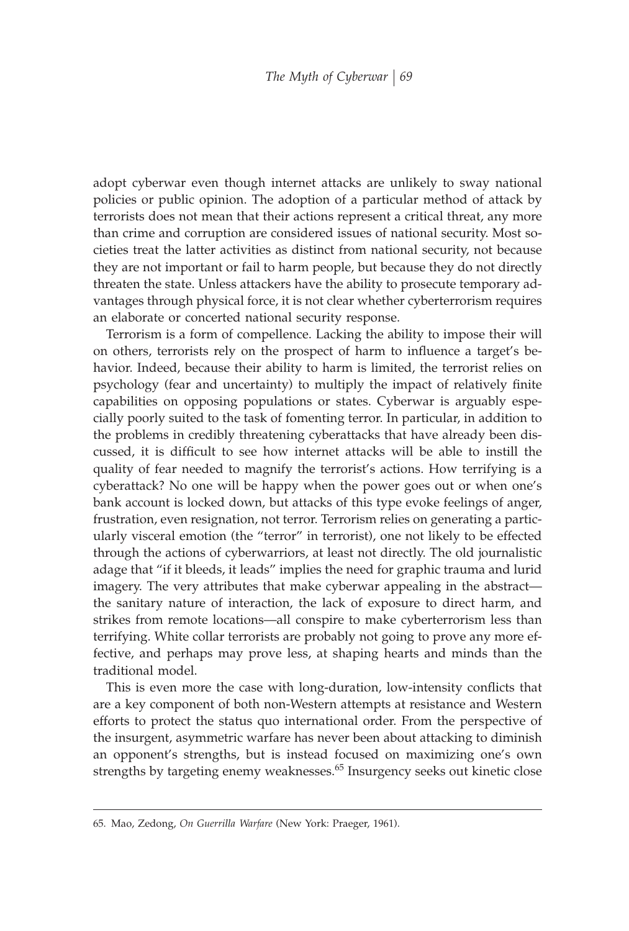adopt cyberwar even though internet attacks are unlikely to sway national policies or public opinion. The adoption of a particular method of attack by terrorists does not mean that their actions represent a critical threat, any more than crime and corruption are considered issues of national security. Most societies treat the latter activities as distinct from national security, not because they are not important or fail to harm people, but because they do not directly threaten the state. Unless attackers have the ability to prosecute temporary advantages through physical force, it is not clear whether cyberterrorism requires an elaborate or concerted national security response.

Terrorism is a form of compellence. Lacking the ability to impose their will on others, terrorists rely on the prospect of harm to influence a target's behavior. Indeed, because their ability to harm is limited, the terrorist relies on psychology (fear and uncertainty) to multiply the impact of relatively finite capabilities on opposing populations or states. Cyberwar is arguably especially poorly suited to the task of fomenting terror. In particular, in addition to the problems in credibly threatening cyberattacks that have already been discussed, it is difficult to see how internet attacks will be able to instill the quality of fear needed to magnify the terrorist's actions. How terrifying is a cyberattack? No one will be happy when the power goes out or when one's bank account is locked down, but attacks of this type evoke feelings of anger, frustration, even resignation, not terror. Terrorism relies on generating a particularly visceral emotion (the "terror" in terrorist), one not likely to be effected through the actions of cyberwarriors, at least not directly. The old journalistic adage that "if it bleeds, it leads" implies the need for graphic trauma and lurid imagery. The very attributes that make cyberwar appealing in the abstract the sanitary nature of interaction, the lack of exposure to direct harm, and strikes from remote locations—all conspire to make cyberterrorism less than terrifying. White collar terrorists are probably not going to prove any more effective, and perhaps may prove less, at shaping hearts and minds than the traditional model.

This is even more the case with long-duration, low-intensity conflicts that are a key component of both non-Western attempts at resistance and Western efforts to protect the status quo international order. From the perspective of the insurgent, asymmetric warfare has never been about attacking to diminish an opponent's strengths, but is instead focused on maximizing one's own strengths by targeting enemy weaknesses.<sup>65</sup> Insurgency seeks out kinetic close

<sup>65.</sup> Mao, Zedong, *On Guerrilla Warfare* (New York: Praeger, 1961).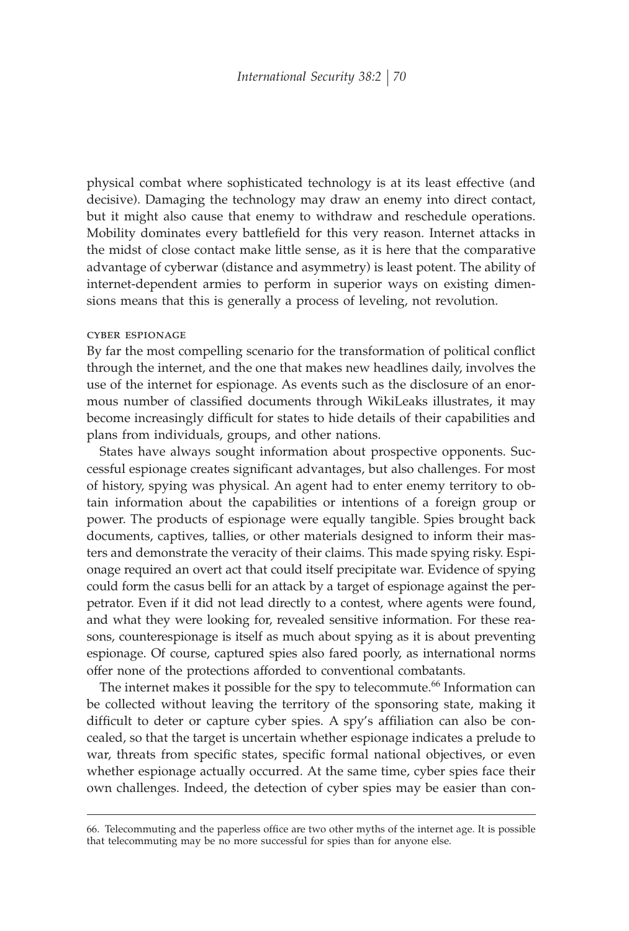physical combat where sophisticated technology is at its least effective (and decisive). Damaging the technology may draw an enemy into direct contact, but it might also cause that enemy to withdraw and reschedule operations. Mobility dominates every battlefield for this very reason. Internet attacks in the midst of close contact make little sense, as it is here that the comparative advantage of cyberwar (distance and asymmetry) is least potent. The ability of internet-dependent armies to perform in superior ways on existing dimensions means that this is generally a process of leveling, not revolution.

#### cyber espionage

By far the most compelling scenario for the transformation of political conflict through the internet, and the one that makes new headlines daily, involves the use of the internet for espionage. As events such as the disclosure of an enormous number of classified documents through WikiLeaks illustrates, it may become increasingly difficult for states to hide details of their capabilities and plans from individuals, groups, and other nations.

States have always sought information about prospective opponents. Successful espionage creates significant advantages, but also challenges. For most of history, spying was physical. An agent had to enter enemy territory to obtain information about the capabilities or intentions of a foreign group or power. The products of espionage were equally tangible. Spies brought back documents, captives, tallies, or other materials designed to inform their masters and demonstrate the veracity of their claims. This made spying risky. Espionage required an overt act that could itself precipitate war. Evidence of spying could form the casus belli for an attack by a target of espionage against the perpetrator. Even if it did not lead directly to a contest, where agents were found, and what they were looking for, revealed sensitive information. For these reasons, counterespionage is itself as much about spying as it is about preventing espionage. Of course, captured spies also fared poorly, as international norms offer none of the protections afforded to conventional combatants.

The internet makes it possible for the spy to telecommute.<sup>66</sup> Information can be collected without leaving the territory of the sponsoring state, making it difficult to deter or capture cyber spies. A spy's affiliation can also be concealed, so that the target is uncertain whether espionage indicates a prelude to war, threats from specific states, specific formal national objectives, or even whether espionage actually occurred. At the same time, cyber spies face their own challenges. Indeed, the detection of cyber spies may be easier than con-

<sup>66.</sup> Telecommuting and the paperless office are two other myths of the internet age. It is possible that telecommuting may be no more successful for spies than for anyone else.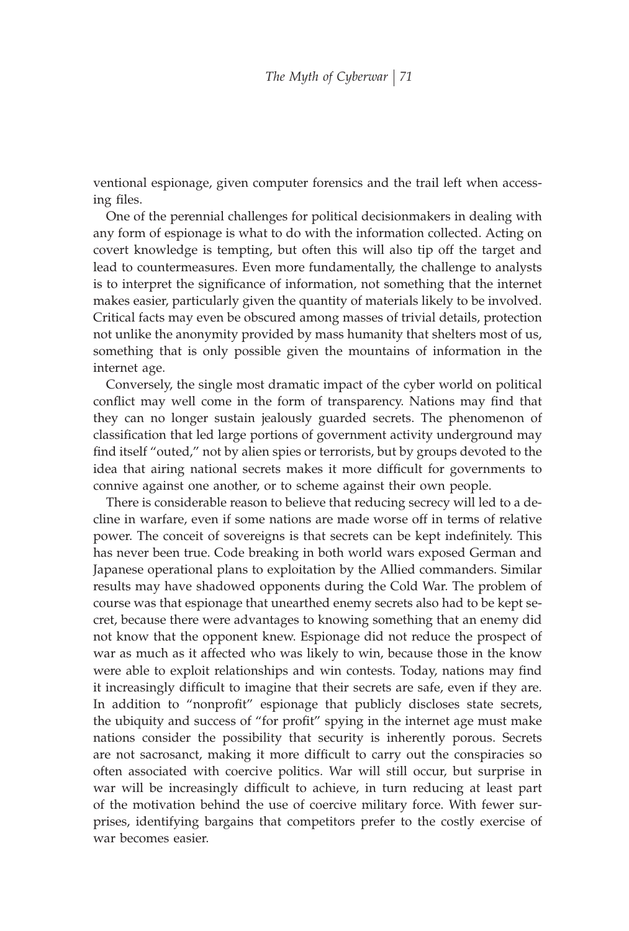ventional espionage, given computer forensics and the trail left when accessing files.

One of the perennial challenges for political decisionmakers in dealing with any form of espionage is what to do with the information collected. Acting on covert knowledge is tempting, but often this will also tip off the target and lead to countermeasures. Even more fundamentally, the challenge to analysts is to interpret the significance of information, not something that the internet makes easier, particularly given the quantity of materials likely to be involved. Critical facts may even be obscured among masses of trivial details, protection not unlike the anonymity provided by mass humanity that shelters most of us, something that is only possible given the mountains of information in the internet age.

Conversely, the single most dramatic impact of the cyber world on political conflict may well come in the form of transparency. Nations may find that they can no longer sustain jealously guarded secrets. The phenomenon of classification that led large portions of government activity underground may find itself "outed," not by alien spies or terrorists, but by groups devoted to the idea that airing national secrets makes it more difficult for governments to connive against one another, or to scheme against their own people.

There is considerable reason to believe that reducing secrecy will led to a decline in warfare, even if some nations are made worse off in terms of relative power. The conceit of sovereigns is that secrets can be kept indefinitely. This has never been true. Code breaking in both world wars exposed German and Japanese operational plans to exploitation by the Allied commanders. Similar results may have shadowed opponents during the Cold War. The problem of course was that espionage that unearthed enemy secrets also had to be kept secret, because there were advantages to knowing something that an enemy did not know that the opponent knew. Espionage did not reduce the prospect of war as much as it affected who was likely to win, because those in the know were able to exploit relationships and win contests. Today, nations may find it increasingly difficult to imagine that their secrets are safe, even if they are. In addition to "nonprofit" espionage that publicly discloses state secrets, the ubiquity and success of "for profit" spying in the internet age must make nations consider the possibility that security is inherently porous. Secrets are not sacrosanct, making it more difficult to carry out the conspiracies so often associated with coercive politics. War will still occur, but surprise in war will be increasingly difficult to achieve, in turn reducing at least part of the motivation behind the use of coercive military force. With fewer surprises, identifying bargains that competitors prefer to the costly exercise of war becomes easier.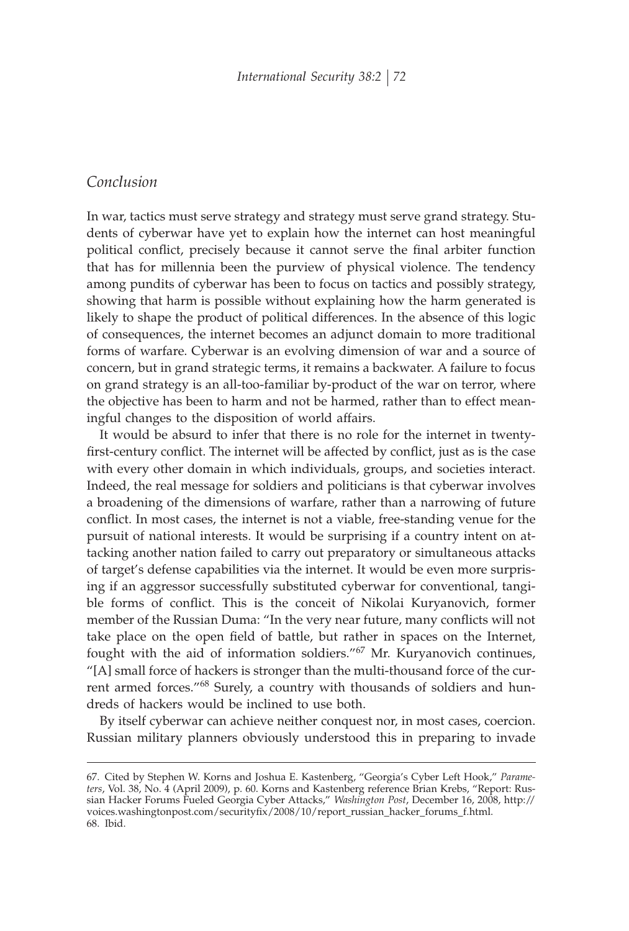## *Conclusion*

In war, tactics must serve strategy and strategy must serve grand strategy. Students of cyberwar have yet to explain how the internet can host meaningful political conflict, precisely because it cannot serve the final arbiter function that has for millennia been the purview of physical violence. The tendency among pundits of cyberwar has been to focus on tactics and possibly strategy, showing that harm is possible without explaining how the harm generated is likely to shape the product of political differences. In the absence of this logic of consequences, the internet becomes an adjunct domain to more traditional forms of warfare. Cyberwar is an evolving dimension of war and a source of concern, but in grand strategic terms, it remains a backwater. A failure to focus on grand strategy is an all-too-familiar by-product of the war on terror, where the objective has been to harm and not be harmed, rather than to effect meaningful changes to the disposition of world affairs.

It would be absurd to infer that there is no role for the internet in twentyfirst-century conflict. The internet will be affected by conflict, just as is the case with every other domain in which individuals, groups, and societies interact. Indeed, the real message for soldiers and politicians is that cyberwar involves a broadening of the dimensions of warfare, rather than a narrowing of future conflict. In most cases, the internet is not a viable, free-standing venue for the pursuit of national interests. It would be surprising if a country intent on attacking another nation failed to carry out preparatory or simultaneous attacks of target's defense capabilities via the internet. It would be even more surprising if an aggressor successfully substituted cyberwar for conventional, tangible forms of conflict. This is the conceit of Nikolai Kuryanovich, former member of the Russian Duma: "In the very near future, many conflicts will not take place on the open field of battle, but rather in spaces on the Internet, fought with the aid of information soldiers."<sup>67</sup> Mr. Kuryanovich continues, "[A] small force of hackers is stronger than the multi-thousand force of the current armed forces."<sup>68</sup> Surely, a country with thousands of soldiers and hundreds of hackers would be inclined to use both.

By itself cyberwar can achieve neither conquest nor, in most cases, coercion. Russian military planners obviously understood this in preparing to invade

<sup>67.</sup> Cited by Stephen W. Korns and Joshua E. Kastenberg, "Georgia's Cyber Left Hook," *Parameters*, Vol. 38, No. 4 (April 2009), p. 60. Korns and Kastenberg reference Brian Krebs, "Report: Russian Hacker Forums Fueled Georgia Cyber Attacks," *Washington Post*, December 16, 2008, http:// voices.washingtonpost.com/securityfix/2008/10/report\_russian\_hacker\_forums\_f.html. 68. Ibid.